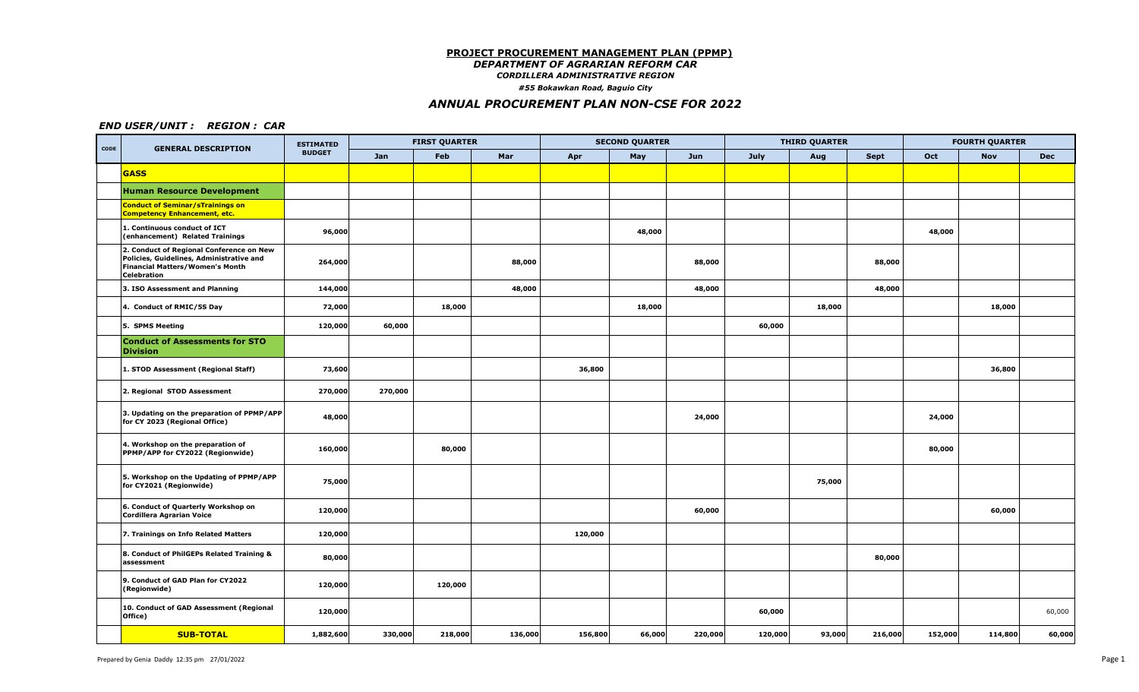### **PROJECT PROCUREMENT MANAGEMENT PLAN (PPMP)**

*DEPARTMENT OF AGRARIAN REFORM CAR*

*CORDILLERA ADMINISTRATIVE REGION*

*#55 Bokawkan Road, Baguio City*

## *ANNUAL PROCUREMENT PLAN NON-CSE FOR 2022*

### *END USER/UNIT : REGION : CAR*

| CODE | <b>GENERAL DESCRIPTION</b>                                                                                                                           | <b>ESTIMATED</b> |         | <b>FIRST QUARTER</b> |         |         | <b>SECOND QUARTER</b> |         |         | <b>THIRD QUARTER</b> |             |         | <b>FOURTH QUARTER</b> |            |
|------|------------------------------------------------------------------------------------------------------------------------------------------------------|------------------|---------|----------------------|---------|---------|-----------------------|---------|---------|----------------------|-------------|---------|-----------------------|------------|
|      |                                                                                                                                                      | <b>BUDGET</b>    | Jan     | Feb                  | Mar     | Apr     | May                   | Jun     | July    | Aug                  | <b>Sept</b> | Oct     | <b>Nov</b>            | <b>Dec</b> |
|      | <b>GASS</b>                                                                                                                                          |                  |         |                      |         |         |                       |         |         |                      |             |         |                       |            |
|      | <b>Human Resource Development</b>                                                                                                                    |                  |         |                      |         |         |                       |         |         |                      |             |         |                       |            |
|      | <b>Conduct of Seminar/sTrainings on</b><br><b>Competency Enhancement, etc.</b>                                                                       |                  |         |                      |         |         |                       |         |         |                      |             |         |                       |            |
|      | 1. Continuous conduct of ICT<br>(enhancement) Related Trainings                                                                                      | 96,000           |         |                      |         |         | 48,000                |         |         |                      |             | 48,000  |                       |            |
|      | 2. Conduct of Regional Conference on New<br>Policies, Guidelines, Administrative and<br><b>Financial Matters/Women's Month</b><br><b>Celebration</b> | 264,000          |         |                      | 88,000  |         |                       | 88,000  |         |                      | 88,000      |         |                       |            |
|      | 3. ISO Assessment and Planning                                                                                                                       | 144,000          |         |                      | 48,000  |         |                       | 48,000  |         |                      | 48,000      |         |                       |            |
|      | 4. Conduct of RMIC/5S Day                                                                                                                            | 72,000           |         | 18,000               |         |         | 18,000                |         |         | 18,000               |             |         | 18,000                |            |
|      | 5. SPMS Meeting                                                                                                                                      | 120,000          | 60,000  |                      |         |         |                       |         | 60,000  |                      |             |         |                       |            |
|      | <b>Conduct of Assessments for STO</b><br><b>Division</b>                                                                                             |                  |         |                      |         |         |                       |         |         |                      |             |         |                       |            |
|      | 1. STOD Assessment (Regional Staff)                                                                                                                  | 73,600           |         |                      |         | 36,800  |                       |         |         |                      |             |         | 36,800                |            |
|      | 2. Regional STOD Assessment                                                                                                                          | 270,000          | 270,000 |                      |         |         |                       |         |         |                      |             |         |                       |            |
|      | 3. Updating on the preparation of PPMP/APP<br>for CY 2023 (Regional Office)                                                                          | 48,000           |         |                      |         |         |                       | 24,000  |         |                      |             | 24,000  |                       |            |
|      | 4. Workshop on the preparation of<br>PPMP/APP for CY2022 (Regionwide)                                                                                | 160,000          |         | 80,000               |         |         |                       |         |         |                      |             | 80,000  |                       |            |
|      | 5. Workshop on the Updating of PPMP/APP<br>for CY2021 (Regionwide)                                                                                   | 75,000           |         |                      |         |         |                       |         |         | 75,000               |             |         |                       |            |
|      | 6. Conduct of Quarterly Workshop on<br><b>Cordillera Agrarian Voice</b>                                                                              | 120,000          |         |                      |         |         |                       | 60,000  |         |                      |             |         | 60,000                |            |
|      | 7. Trainings on Info Related Matters                                                                                                                 | 120,000          |         |                      |         | 120,000 |                       |         |         |                      |             |         |                       |            |
|      | 8. Conduct of PhilGEPs Related Training &<br>assessment                                                                                              | 80,000           |         |                      |         |         |                       |         |         |                      | 80,000      |         |                       |            |
|      | 9. Conduct of GAD Plan for CY2022<br>(Regionwide)                                                                                                    | 120,000          |         | 120,000              |         |         |                       |         |         |                      |             |         |                       |            |
|      | 10. Conduct of GAD Assessment (Regional<br>Office)                                                                                                   | 120,000          |         |                      |         |         |                       |         | 60,000  |                      |             |         |                       | 60,000     |
|      | <b>SUB-TOTAL</b>                                                                                                                                     | 1,882,600        | 330,000 | 218,000              | 136,000 | 156,800 | 66,000                | 220,000 | 120,000 | 93,000               | 216,000     | 152,000 | 114,800               | 60,000     |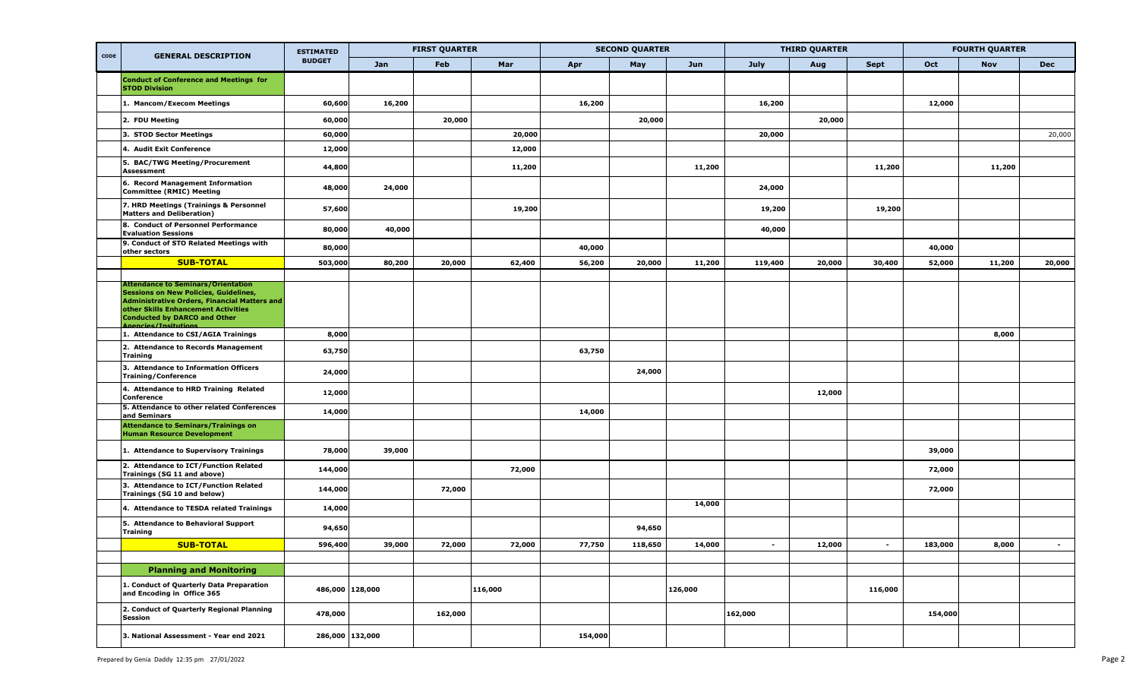| CODE | <b>GENERAL DESCRIPTION</b>                                                                                                                                                       | <b>ESTIMATED</b> |        | <b>FIRST QUARTER</b> |         |         | <b>SECOND QUARTER</b> |         |             | <b>THIRD QUARTER</b> |             |         | <b>FOURTH QUARTER</b> |            |
|------|----------------------------------------------------------------------------------------------------------------------------------------------------------------------------------|------------------|--------|----------------------|---------|---------|-----------------------|---------|-------------|----------------------|-------------|---------|-----------------------|------------|
|      |                                                                                                                                                                                  | <b>BUDGET</b>    | Jan    | Feb                  | Mar     | Apr     | May                   | Jun     | <b>July</b> | Aug                  | <b>Sept</b> | Oct     | <b>Nov</b>            | <b>Dec</b> |
|      | <b>Conduct of Conference and Meetings for</b><br><b>STOD Division</b>                                                                                                            |                  |        |                      |         |         |                       |         |             |                      |             |         |                       |            |
|      | 1. Mancom/Execom Meetings                                                                                                                                                        | 60,600           | 16,200 |                      |         | 16,200  |                       |         | 16,200      |                      |             | 12,000  |                       |            |
|      | 2. FDU Meeting                                                                                                                                                                   | 60,000           |        | 20,000               |         |         | 20,000                |         |             | 20,000               |             |         |                       |            |
|      | 3. STOD Sector Meetings                                                                                                                                                          | 60,000           |        |                      | 20,000  |         |                       |         | 20,000      |                      |             |         |                       | 20,000     |
|      | 4. Audit Exit Conference                                                                                                                                                         | 12,000           |        |                      | 12,000  |         |                       |         |             |                      |             |         |                       |            |
|      | 5. BAC/TWG Meeting/Procurement<br>Assessment                                                                                                                                     | 44,800           |        |                      | 11,200  |         |                       | 11,200  |             |                      | 11,200      |         | 11,200                |            |
|      | 6. Record Management Information<br><b>Committee (RMIC) Meeting</b>                                                                                                              | 48,000           | 24,000 |                      |         |         |                       |         | 24,000      |                      |             |         |                       |            |
|      | 7. HRD Meetings (Trainings & Personnel<br><b>Matters and Deliberation)</b>                                                                                                       | 57,600           |        |                      | 19,200  |         |                       |         | 19,200      |                      | 19,200      |         |                       |            |
|      | 8. Conduct of Personnel Performance<br><b>Evaluation Sessions</b>                                                                                                                | 80,000           | 40,000 |                      |         |         |                       |         | 40,000      |                      |             |         |                       |            |
|      | 9. Conduct of STO Related Meetings with<br>other sectors                                                                                                                         | 80,000           |        |                      |         | 40,000  |                       |         |             |                      |             | 40,000  |                       |            |
|      | <b>SUB-TOTAL</b>                                                                                                                                                                 | 503,000          | 80,200 | 20,000               | 62,400  | 56,200  | 20,000                | 11,200  | 119,400     | 20,000               | 30,400      | 52,000  | 11,200                | 20,000     |
|      | Attendance to Seminars/Orientation<br><b>Sessions on New Policies, Guidelines,</b><br><b>Administrative Orders, Financial Matters and</b><br>other Skills Enhancement Activities |                  |        |                      |         |         |                       |         |             |                      |             |         |                       |            |
|      | Conducted by DARCO and Other<br><b>Agencies/Insitutions</b>                                                                                                                      |                  |        |                      |         |         |                       |         |             |                      |             |         |                       |            |
|      | 1. Attendance to CSI/AGIA Trainings                                                                                                                                              | 8,000            |        |                      |         |         |                       |         |             |                      |             |         | 8,000                 |            |
|      | 2. Attendance to Records Management<br><b>Training</b>                                                                                                                           | 63,750           |        |                      |         | 63,750  |                       |         |             |                      |             |         |                       |            |
|      | 3. Attendance to Information Officers<br><b>Training/Conference</b>                                                                                                              | 24,000           |        |                      |         |         | 24,000                |         |             |                      |             |         |                       |            |
|      | 4. Attendance to HRD Training Related<br>Conference                                                                                                                              | 12,000           |        |                      |         |         |                       |         |             | 12,000               |             |         |                       |            |
|      | 5. Attendance to other related Conferences<br>and Seminars                                                                                                                       | 14,000           |        |                      |         | 14,000  |                       |         |             |                      |             |         |                       |            |
|      | <b>Attendance to Seminars/Trainings on</b><br><b>Human Resource Development</b>                                                                                                  |                  |        |                      |         |         |                       |         |             |                      |             |         |                       |            |
|      | 1. Attendance to Supervisory Trainings                                                                                                                                           | 78,000           | 39,000 |                      |         |         |                       |         |             |                      |             | 39,000  |                       |            |
|      | 2. Attendance to ICT/Function Related<br>Trainings (SG 11 and above)                                                                                                             | 144,000          |        |                      | 72,000  |         |                       |         |             |                      |             | 72,000  |                       |            |
|      | 3. Attendance to ICT/Function Related<br>Trainings (SG 10 and below)                                                                                                             | 144,000          |        | 72,000               |         |         |                       |         |             |                      |             | 72,000  |                       |            |
|      | 4. Attendance to TESDA related Trainings                                                                                                                                         | 14,000           |        |                      |         |         |                       | 14,000  |             |                      |             |         |                       |            |
|      | 5. Attendance to Behavioral Support<br><b>Training</b>                                                                                                                           | 94,650           |        |                      |         |         | 94,650                |         |             |                      |             |         |                       |            |
|      | <b>SUB-TOTAL</b>                                                                                                                                                                 | 596,400          | 39,000 | 72,000               | 72,000  | 77,750  | 118,650               | 14,000  | $\sim$      | 12,000               | $\sim$      | 183,000 | 8,000                 | $\sim$     |
|      |                                                                                                                                                                                  |                  |        |                      |         |         |                       |         |             |                      |             |         |                       |            |
|      | <b>Planning and Monitoring</b>                                                                                                                                                   |                  |        |                      |         |         |                       |         |             |                      |             |         |                       |            |
|      | 1. Conduct of Quarterly Data Preparation<br>and Encoding in Office 365                                                                                                           | 486,000 128,000  |        |                      | 116,000 |         |                       | 126,000 |             |                      | 116,000     |         |                       |            |
|      | 2. Conduct of Quarterly Regional Planning<br>Session                                                                                                                             | 478,000          |        | 162,000              |         |         |                       |         | 162,000     |                      |             | 154,000 |                       |            |
|      | 3. National Assessment - Year end 2021                                                                                                                                           | 286,000 132,000  |        |                      |         | 154,000 |                       |         |             |                      |             |         |                       |            |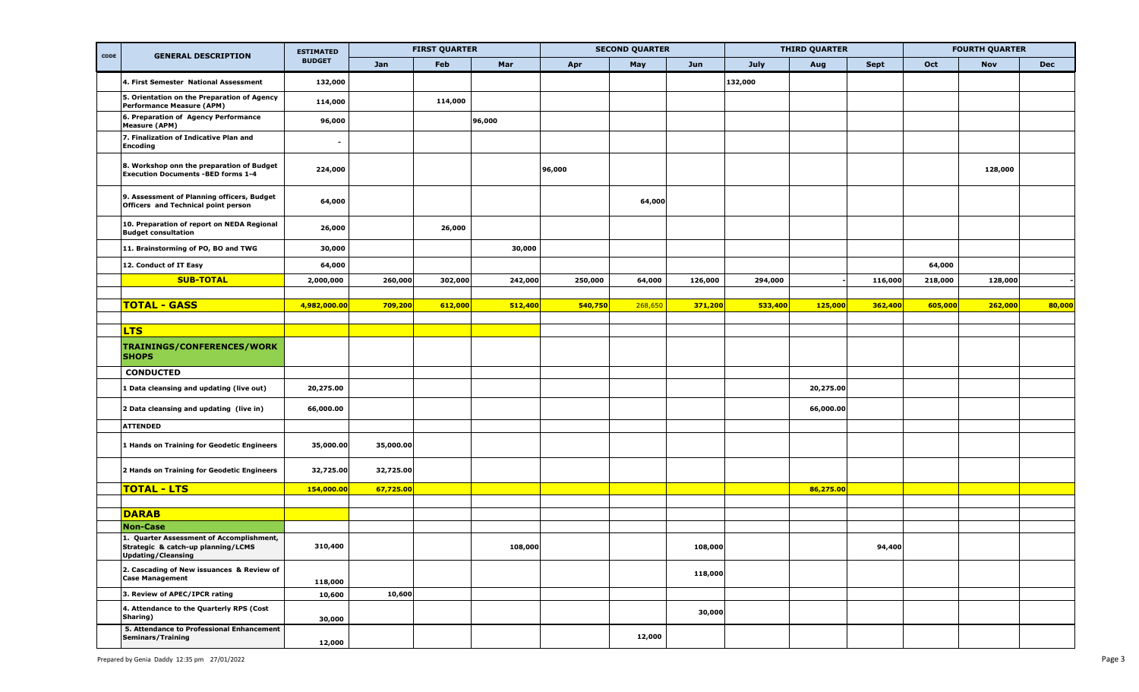|      |                                                                                        | <b>ESTIMATED</b> |           | <b>FIRST QUARTER</b> |         | <b>SECOND QUARTER</b> |         |         |         | <b>THIRD QUARTER</b> |             |         | <b>FOURTH QUARTER</b> |            |
|------|----------------------------------------------------------------------------------------|------------------|-----------|----------------------|---------|-----------------------|---------|---------|---------|----------------------|-------------|---------|-----------------------|------------|
| CODE | <b>GENERAL DESCRIPTION</b>                                                             | <b>BUDGET</b>    | Jan       | Feb                  | Mar     | May<br>Apr            |         | Jun     | July    | Aug                  | <b>Sept</b> | Oct     | <b>Nov</b>            | <b>Dec</b> |
|      | 4. First Semester National Assessment                                                  | 132,000          |           |                      |         |                       |         |         | 132,000 |                      |             |         |                       |            |
|      | 5. Orientation on the Preparation of Agency<br><b>Performance Measure (APM)</b>        | 114,000          |           | 114,000              |         |                       |         |         |         |                      |             |         |                       |            |
|      | 6. Preparation of Agency Performance<br><b>Measure (APM)</b>                           | 96,000           |           |                      | 96,000  |                       |         |         |         |                      |             |         |                       |            |
|      | 7. Finalization of Indicative Plan and<br>Encoding                                     | $\blacksquare$   |           |                      |         |                       |         |         |         |                      |             |         |                       |            |
|      | 8. Workshop onn the preparation of Budget<br><b>Execution Documents -BED forms 1-4</b> | 224,000          |           |                      |         | 96,000                |         |         |         |                      |             |         | 128,000               |            |
|      | 9. Assessment of Planning officers, Budget<br>Officers and Technical point person      | 64,000           |           |                      |         |                       | 64,000  |         |         |                      |             |         |                       |            |
|      | 10. Preparation of report on NEDA Regional<br><b>Budget consultation</b>               | 26,000           |           | 26,000               |         |                       |         |         |         |                      |             |         |                       |            |
|      | 11. Brainstorming of PO, BO and TWG                                                    | 30,000           |           |                      | 30,000  |                       |         |         |         |                      |             |         |                       |            |
|      | 12. Conduct of IT Easy                                                                 | 64,000           |           |                      |         |                       |         |         |         |                      |             | 64,000  |                       |            |
|      | <b>SUB-TOTAL</b>                                                                       | 2,000,000        | 260,000   | 302,000              | 242,000 | 250,000               | 64,000  | 126,000 | 294,000 |                      | 116,000     | 218,000 | 128,000               |            |
|      | <b>TOTAL - GASS</b>                                                                    | 4,982,000.00     | 709,200   | 612,000              | 512,400 | 540,750               | 268,650 | 371,200 | 533,400 | 125,000              | 362,400     | 605,000 | 262,000               | 80,000     |
|      |                                                                                        |                  |           |                      |         |                       |         |         |         |                      |             |         |                       |            |
|      | <b>LTS</b>                                                                             |                  |           |                      |         |                       |         |         |         |                      |             |         |                       |            |
|      | <b>TRAININGS/CONFERENCES/WORK</b><br><b>SHOPS</b>                                      |                  |           |                      |         |                       |         |         |         |                      |             |         |                       |            |
|      | <b>CONDUCTED</b>                                                                       |                  |           |                      |         |                       |         |         |         |                      |             |         |                       |            |
|      | 1 Data cleansing and updating (live out)                                               | 20,275.00        |           |                      |         |                       |         |         |         | 20,275.00            |             |         |                       |            |
|      | 2 Data cleansing and updating (live in)                                                | 66,000.00        |           |                      |         |                       |         |         |         | 66,000.00            |             |         |                       |            |
|      | <b>ATTENDED</b>                                                                        |                  |           |                      |         |                       |         |         |         |                      |             |         |                       |            |
|      | 1 Hands on Training for Geodetic Engineers                                             | 35,000.00        | 35,000.00 |                      |         |                       |         |         |         |                      |             |         |                       |            |
|      | 2 Hands on Training for Geodetic Engineers                                             | 32,725.00        | 32,725.00 |                      |         |                       |         |         |         |                      |             |         |                       |            |
|      | <b>TOTAL - LTS</b>                                                                     | 154,000.00       | 67,725.00 |                      |         |                       |         |         |         | 86,275.00            |             |         |                       |            |
|      |                                                                                        |                  |           |                      |         |                       |         |         |         |                      |             |         |                       |            |
|      | <b>DARAB</b>                                                                           |                  |           |                      |         |                       |         |         |         |                      |             |         |                       |            |
|      | <b>Non-Case</b><br>1. Quarter Assessment of Accomplishment,                            |                  |           |                      |         |                       |         |         |         |                      |             |         |                       |            |
|      | Strategic & catch-up planning/LCMS<br><b>Updating/Cleansing</b>                        | 310,400          |           |                      | 108,000 |                       |         | 108,000 |         |                      | 94,400      |         |                       |            |
|      | 2. Cascading of New issuances & Review of<br><b>Case Management</b>                    | 118,000          |           |                      |         |                       |         | 118,000 |         |                      |             |         |                       |            |
|      | 3. Review of APEC/IPCR rating                                                          | 10,600           | 10,600    |                      |         |                       |         |         |         |                      |             |         |                       |            |
|      | 4. Attendance to the Quarterly RPS (Cost<br>Sharing)                                   | 30,000           |           |                      |         |                       |         | 30,000  |         |                      |             |         |                       |            |
|      | 5. Attendance to Professional Enhancement<br>Seminars/Training                         | 12,000           |           |                      |         |                       | 12,000  |         |         |                      |             |         |                       |            |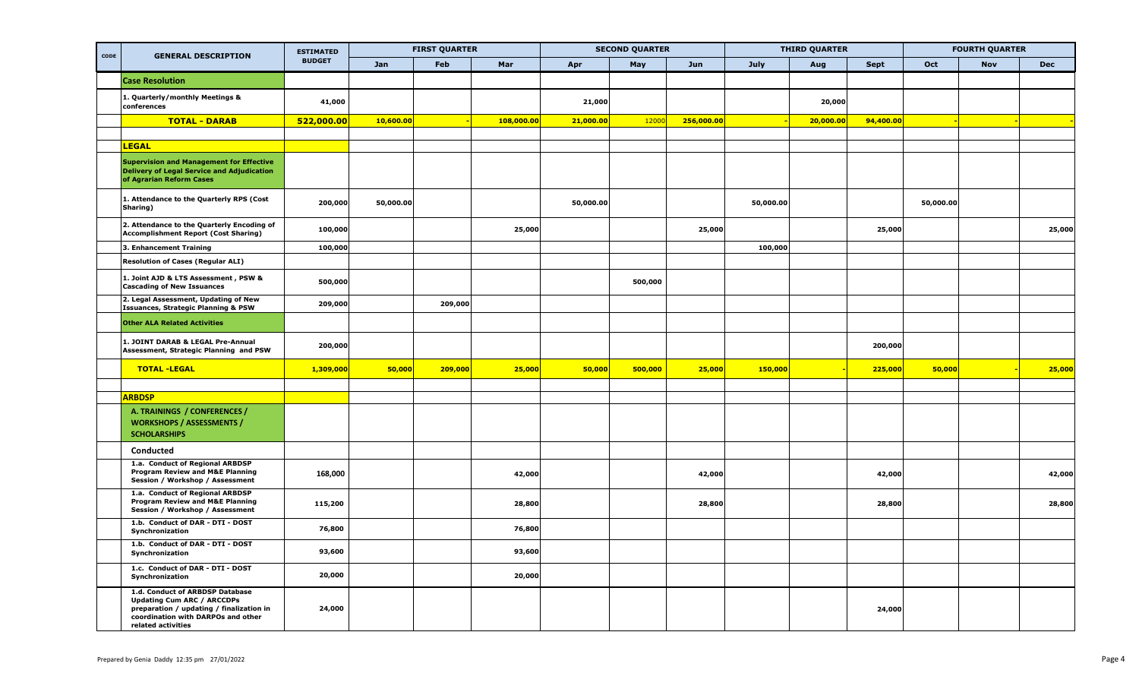| CODE |                                                                                                                                                                              | <b>ESTIMATED</b> |           | <b>FIRST QUARTER</b> |            |           | <b>SECOND QUARTER</b> |            |           | <b>THIRD QUARTER</b> |             |           | <b>FOURTH QUARTER</b> |            |
|------|------------------------------------------------------------------------------------------------------------------------------------------------------------------------------|------------------|-----------|----------------------|------------|-----------|-----------------------|------------|-----------|----------------------|-------------|-----------|-----------------------|------------|
|      | <b>GENERAL DESCRIPTION</b>                                                                                                                                                   | <b>BUDGET</b>    | Jan       | Feb                  | Mar        | Apr       | May                   | Jun        | July      | Aug                  | <b>Sept</b> | Oct       | <b>Nov</b>            | <b>Dec</b> |
|      | <b>Case Resolution</b>                                                                                                                                                       |                  |           |                      |            |           |                       |            |           |                      |             |           |                       |            |
|      | 1. Quarterly/monthly Meetings &<br>conferences                                                                                                                               | 41,000           |           |                      |            | 21,000    |                       |            |           | 20,000               |             |           |                       |            |
|      | <b>TOTAL - DARAB</b>                                                                                                                                                         | 522,000.00       | 10,600.00 |                      | 108,000.00 | 21,000.00 | 12000                 | 256,000.00 |           | 20,000.00            | 94,400.00   |           |                       |            |
|      |                                                                                                                                                                              |                  |           |                      |            |           |                       |            |           |                      |             |           |                       |            |
|      | <b>LEGAL</b>                                                                                                                                                                 |                  |           |                      |            |           |                       |            |           |                      |             |           |                       |            |
|      | <b>Supervision and Management for Effective</b><br><b>Delivery of Legal Service and Adjudication</b><br>of Agrarian Reform Cases                                             |                  |           |                      |            |           |                       |            |           |                      |             |           |                       |            |
|      | 1. Attendance to the Quarterly RPS (Cost<br>Sharing)                                                                                                                         | 200,000          | 50,000.00 |                      |            | 50,000.00 |                       |            | 50,000.00 |                      |             | 50,000.00 |                       |            |
|      | 2. Attendance to the Quarterly Encoding of<br><b>Accomplishment Report (Cost Sharing)</b>                                                                                    | 100,000          |           |                      | 25,000     |           |                       | 25,000     |           |                      | 25,000      |           |                       | 25,000     |
|      | 3. Enhancement Training                                                                                                                                                      | 100,000          |           |                      |            |           |                       |            | 100,000   |                      |             |           |                       |            |
|      | <b>Resolution of Cases (Regular ALI)</b>                                                                                                                                     |                  |           |                      |            |           |                       |            |           |                      |             |           |                       |            |
|      | 1. Joint AJD & LTS Assessment , PSW &<br><b>Cascading of New Issuances</b>                                                                                                   | 500,000          |           |                      |            |           | 500,000               |            |           |                      |             |           |                       |            |
|      | 2. Legal Assessment, Updating of New<br><b>Issuances, Strategic Planning &amp; PSW</b>                                                                                       | 209,000          |           | 209,000              |            |           |                       |            |           |                      |             |           |                       |            |
|      | <b>Other ALA Related Activities</b>                                                                                                                                          |                  |           |                      |            |           |                       |            |           |                      |             |           |                       |            |
|      | 1. JOINT DARAB & LEGAL Pre-Annual<br>Assessment, Strategic Planning and PSW                                                                                                  | 200,000          |           |                      |            |           |                       |            |           |                      | 200,000     |           |                       |            |
|      | <b>TOTAL -LEGAL</b>                                                                                                                                                          | 1,309,000        | 50,000    | 209,000              | 25,000     | 50,000    | 500,000               | 25,000     | 150,000   |                      | 225,000     | 50,000    |                       | 25,000     |
|      |                                                                                                                                                                              |                  |           |                      |            |           |                       |            |           |                      |             |           |                       |            |
|      | <b>ARBDSP</b>                                                                                                                                                                |                  |           |                      |            |           |                       |            |           |                      |             |           |                       |            |
|      | A. TRAININGS / CONFERENCES /<br><b>WORKSHOPS / ASSESSMENTS /</b><br><b>SCHOLARSHIPS</b>                                                                                      |                  |           |                      |            |           |                       |            |           |                      |             |           |                       |            |
|      | Conducted                                                                                                                                                                    |                  |           |                      |            |           |                       |            |           |                      |             |           |                       |            |
|      | 1.a. Conduct of Regional ARBDSP<br><b>Program Review and M&amp;E Planning</b><br>Session / Workshop / Assessment                                                             | 168,000          |           |                      | 42,000     |           |                       | 42,000     |           |                      | 42,000      |           |                       | 42,000     |
|      | 1.a. Conduct of Regional ARBDSP<br>Program Review and M&E Planning<br>Session / Workshop / Assessment                                                                        | 115,200          |           |                      | 28,800     |           |                       | 28,800     |           |                      | 28,800      |           |                       | 28,800     |
|      | 1.b. Conduct of DAR - DTI - DOST<br>Synchronization                                                                                                                          | 76,800           |           |                      | 76,800     |           |                       |            |           |                      |             |           |                       |            |
|      | 1.b. Conduct of DAR - DTI - DOST<br>Synchronization                                                                                                                          | 93,600           |           |                      | 93,600     |           |                       |            |           |                      |             |           |                       |            |
|      | 1.c. Conduct of DAR - DTI - DOST<br>Synchronization                                                                                                                          | 20,000           |           |                      | 20,000     |           |                       |            |           |                      |             |           |                       |            |
|      | 1.d. Conduct of ARBDSP Database<br><b>Updating Cum ARC / ARCCDPs</b><br>preparation / updating / finalization in<br>coordination with DARPOs and other<br>related activities | 24,000           |           |                      |            |           |                       |            |           |                      | 24,000      |           |                       |            |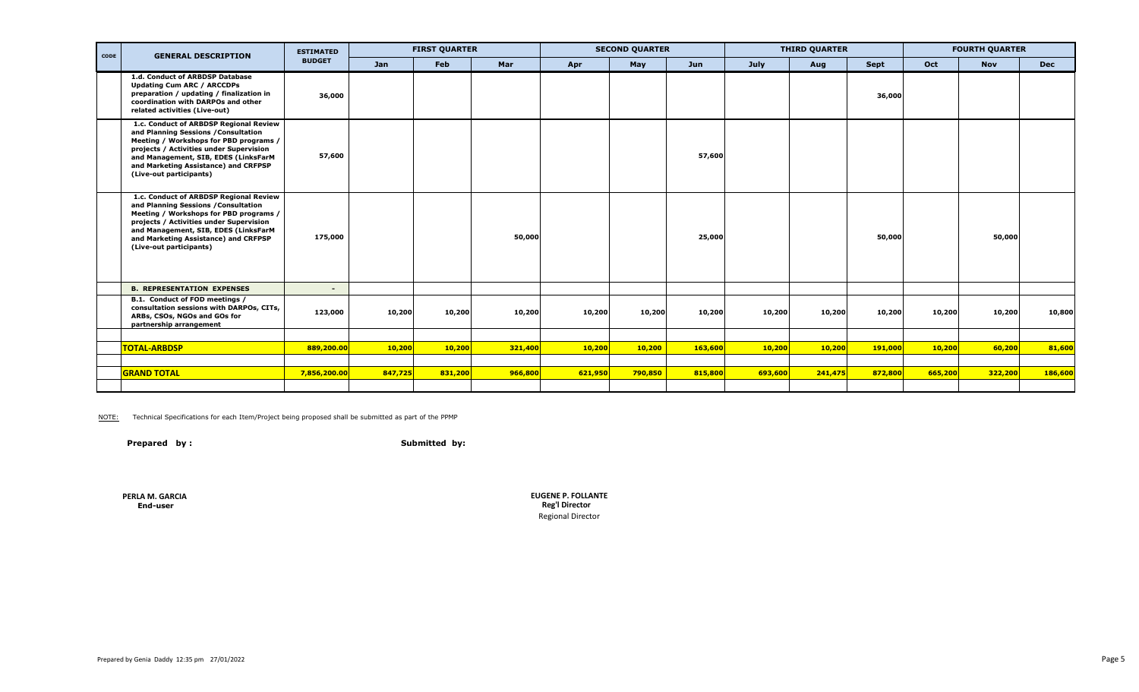| CODE | <b>GENERAL DESCRIPTION</b>                                                                                                                                                                                                                                                     | <b>ESTIMATED</b> |         | <b>FIRST QUARTER</b> |         |         | <b>SECOND QUARTER</b> |         |         | <b>THIRD QUARTER</b> |         |         | <b>FOURTH QUARTER</b> |            |
|------|--------------------------------------------------------------------------------------------------------------------------------------------------------------------------------------------------------------------------------------------------------------------------------|------------------|---------|----------------------|---------|---------|-----------------------|---------|---------|----------------------|---------|---------|-----------------------|------------|
|      |                                                                                                                                                                                                                                                                                | <b>BUDGET</b>    | Jan     | Feb                  | Mar     | Apr     | May                   | Jun     | July    | Aug                  | Sept    | Oct     | <b>Nov</b>            | <b>Dec</b> |
|      | 1.d. Conduct of ARBDSP Database<br><b>Updating Cum ARC / ARCCDPs</b><br>preparation / updating / finalization in<br>coordination with DARPOs and other<br>related activities (Live-out)                                                                                        | 36,000           |         |                      |         |         |                       |         |         |                      | 36,000  |         |                       |            |
|      | 1.c. Conduct of ARBDSP Regional Review<br>and Planning Sessions / Consultation<br>Meeting / Workshops for PBD programs /<br>projects / Activities under Supervision<br>and Management, SIB, EDES (LinksFarM<br>and Marketing Assistance) and CRFPSP<br>(Live-out participants) | 57,600           |         |                      |         |         |                       | 57,600  |         |                      |         |         |                       |            |
|      | 1.c. Conduct of ARBDSP Regional Review<br>and Planning Sessions / Consultation<br>Meeting / Workshops for PBD programs /<br>projects / Activities under Supervision<br>and Management, SIB, EDES (LinksFarM<br>and Marketing Assistance) and CRFPSP<br>(Live-out participants) | 175,000          |         |                      | 50,000  |         |                       | 25,000  |         |                      | 50,000  |         | 50,000                |            |
|      | <b>B. REPRESENTATION EXPENSES</b>                                                                                                                                                                                                                                              |                  |         |                      |         |         |                       |         |         |                      |         |         |                       |            |
|      | B.1. Conduct of FOD meetings /<br>consultation sessions with DARPOs, CITs,<br>ARBs, CSOs, NGOs and GOs for<br>partnership arrangement                                                                                                                                          | 123,000          | 10,200  | 10,200               | 10,200  | 10,200  | 10,200                | 10,200  | 10,200  | 10,200               | 10,200  | 10,200  | 10,200                | 10,800     |
|      |                                                                                                                                                                                                                                                                                |                  |         |                      |         |         |                       |         |         |                      |         |         |                       |            |
|      | <b>TOTAL-ARBDSP</b>                                                                                                                                                                                                                                                            | 889,200.00       | 10,200  | 10,200               | 321,400 | 10,200  | 10,200                | 163,600 | 10,200  | 10,200               | 191,000 | 10,200  | 60,200                | 81,600     |
|      |                                                                                                                                                                                                                                                                                |                  |         |                      |         |         |                       |         |         |                      |         |         |                       |            |
|      | <b>GRAND TOTAL</b>                                                                                                                                                                                                                                                             | 7,856,200.00     | 847,725 | 831,200              | 966,800 | 621,950 | 790,850               | 815,800 | 693,600 | 241,475              | 872,800 | 665,200 | 322,200               | 186,600    |
|      |                                                                                                                                                                                                                                                                                |                  |         |                      |         |         |                       |         |         |                      |         |         |                       |            |

NOTE: Technical Specifications for each Item/Project being proposed shall be submitted as part of the PPMP

Prepared by : Submitted by:

**PERLA M. GARCIA**

 **End-user Reg'l Director EUGENE P. FOLLANTE** Regional Director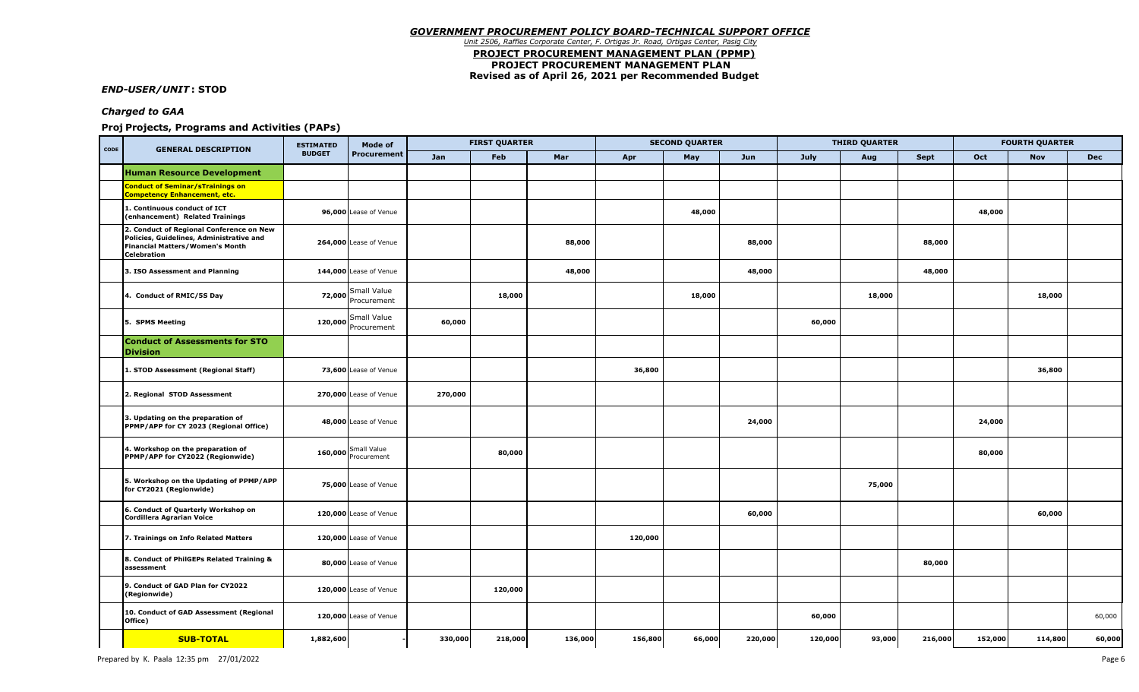#### *GOVERNMENT PROCUREMENT POLICY BOARD-TECHNICAL SUPPORT OFFICE Unit 2506, Raffles Corporate Center, F. Ortigas Jr. Road, Ortigas Center, Pasig City*  **PROJECT PROCUREMENT MANAGEMENT PLAN (PPMP) PROJECT PROCUREMENT MANAGEMENT PLAN Revised as of April 26, 2021 per Recommended Budget**

*END-USER/UNIT* **: STOD**

### *Charged to GAA*

### **Projects, Programs and Activities (PAPs) Projects, Programs and Activities (PAPs)**

| CODE | <b>GENERAL DESCRIPTION</b>                                                                                                                           | <b>ESTIMATED</b> | Mode of                           |         | <b>FIRST QUARTER</b> |         |         | <b>SECOND QUARTER</b> |         |         | <b>THIRD QUARTER</b> |         |         | <b>FOURTH QUARTER</b> |            |
|------|------------------------------------------------------------------------------------------------------------------------------------------------------|------------------|-----------------------------------|---------|----------------------|---------|---------|-----------------------|---------|---------|----------------------|---------|---------|-----------------------|------------|
|      |                                                                                                                                                      | <b>BUDGET</b>    | <b>Procurement</b>                | Jan     | Feb                  | Mar     | Apr     | May                   | Jun     | July    | Aug                  | Sept    | Oct     | <b>Nov</b>            | <b>Dec</b> |
|      | <b>Human Resource Development</b>                                                                                                                    |                  |                                   |         |                      |         |         |                       |         |         |                      |         |         |                       |            |
|      | <b>Conduct of Seminar/sTrainings on</b><br><b>Competency Enhancement, etc.</b>                                                                       |                  |                                   |         |                      |         |         |                       |         |         |                      |         |         |                       |            |
|      | 1. Continuous conduct of ICT<br>(enhancement) Related Trainings                                                                                      |                  | 96,000 Lease of Venue             |         |                      |         |         | 48,000                |         |         |                      |         | 48,000  |                       |            |
|      | 2. Conduct of Regional Conference on New<br>Policies, Guidelines, Administrative and<br><b>Financial Matters/Women's Month</b><br><b>Celebration</b> |                  | 264,000 Lease of Venue            |         |                      | 88,000  |         |                       | 88,000  |         |                      | 88,000  |         |                       |            |
|      | 3. ISO Assessment and Planning                                                                                                                       |                  | 144,000 Lease of Venue            |         |                      | 48,000  |         |                       | 48,000  |         |                      | 48,000  |         |                       |            |
|      | 4. Conduct of RMIC/5S Day                                                                                                                            |                  | Small Value<br>72,000 Procurement |         | 18,000               |         |         | 18,000                |         |         | 18,000               |         |         | 18,000                |            |
|      | 5. SPMS Meeting                                                                                                                                      | 120,000          | Small Value<br>Procurement        | 60,000  |                      |         |         |                       |         | 60,000  |                      |         |         |                       |            |
|      | <b>Conduct of Assessments for STO</b><br><b>Division</b>                                                                                             |                  |                                   |         |                      |         |         |                       |         |         |                      |         |         |                       |            |
|      | 1. STOD Assessment (Regional Staff)                                                                                                                  |                  | 73,600 Lease of Venue             |         |                      |         | 36,800  |                       |         |         |                      |         |         | 36,800                |            |
|      | 2. Regional STOD Assessment                                                                                                                          |                  | 270,000 Lease of Venue            | 270,000 |                      |         |         |                       |         |         |                      |         |         |                       |            |
|      | 3. Updating on the preparation of<br>PPMP/APP for CY 2023 (Regional Office)                                                                          |                  | 48,000 Lease of Venue             |         |                      |         |         |                       | 24,000  |         |                      |         | 24,000  |                       |            |
|      | 4. Workshop on the preparation of<br>PPMP/APP for CY2022 (Regionwide)                                                                                |                  | 160,000 Small Value               |         | 80,000               |         |         |                       |         |         |                      |         | 80,000  |                       |            |
|      | 5. Workshop on the Updating of PPMP/APP<br>for CY2021 (Regionwide)                                                                                   |                  | 75,000 Lease of Venue             |         |                      |         |         |                       |         |         | 75,000               |         |         |                       |            |
|      | 6. Conduct of Quarterly Workshop on<br><b>Cordillera Agrarian Voice</b>                                                                              |                  | 120,000 Lease of Venue            |         |                      |         |         |                       | 60,000  |         |                      |         |         | 60,000                |            |
|      | 7. Trainings on Info Related Matters                                                                                                                 |                  | 120,000 Lease of Venue            |         |                      |         | 120,000 |                       |         |         |                      |         |         |                       |            |
|      | 8. Conduct of PhilGEPs Related Training &<br>assessment                                                                                              |                  | 80,000 Lease of Venue             |         |                      |         |         |                       |         |         |                      | 80,000  |         |                       |            |
|      | 9. Conduct of GAD Plan for CY2022<br>(Regionwide)                                                                                                    |                  | 120,000 Lease of Venue            |         | 120,000              |         |         |                       |         |         |                      |         |         |                       |            |
|      | 10. Conduct of GAD Assessment (Regional<br>Office)                                                                                                   |                  | 120,000 Lease of Venue            |         |                      |         |         |                       |         | 60,000  |                      |         |         |                       | 60,000     |
|      | <b>SUB-TOTAL</b>                                                                                                                                     | 1,882,600        |                                   | 330,000 | 218,000              | 136,000 | 156,800 | 66,000                | 220,000 | 120,000 | 93,000               | 216,000 | 152,000 | 114,800               | 60,000     |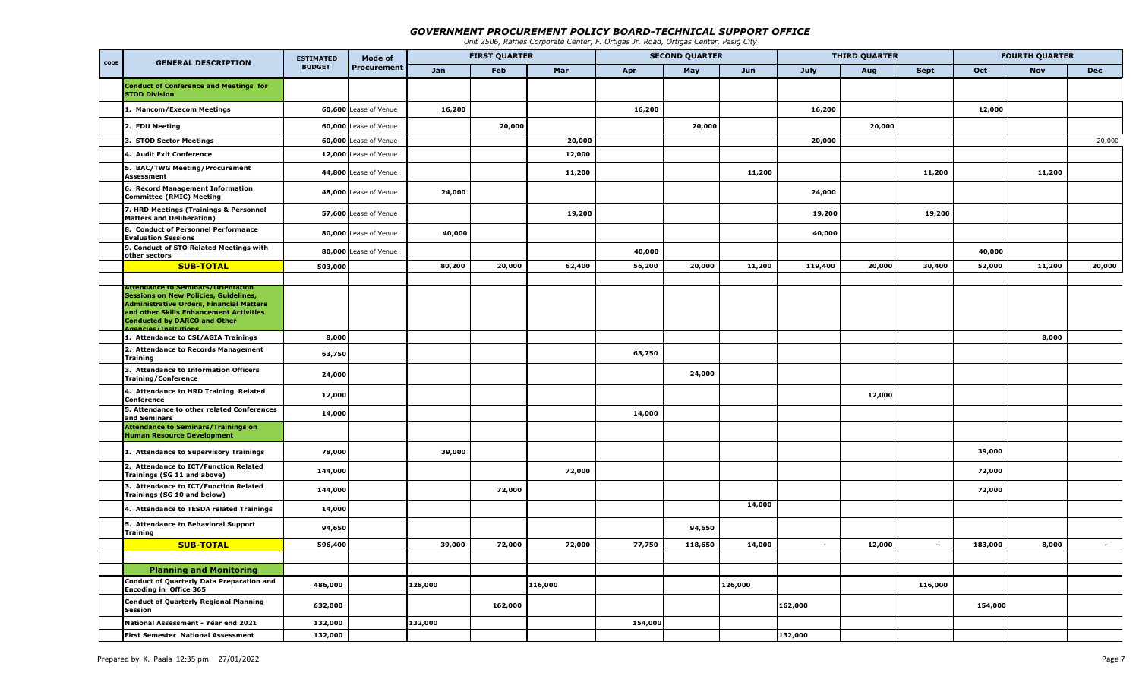## *GOVERNMENT PROCUREMENT POLICY BOARD-TECHNICAL SUPPORT OFFICE*

*Unit 2506, Raffles Corporate Center, F. Ortigas Jr. Road, Ortigas Center, Pasig City*

| CODE |                                                                                                                                                                                                                                                               | <b>ESTIMATED</b> | Mode of               |         | <b>FIRST QUARTER</b> |         |         | <b>SECOND QUARTER</b> |         |                | <b>THIRD QUARTER</b> |             |         | <b>FOURTH QUARTER</b> |            |
|------|---------------------------------------------------------------------------------------------------------------------------------------------------------------------------------------------------------------------------------------------------------------|------------------|-----------------------|---------|----------------------|---------|---------|-----------------------|---------|----------------|----------------------|-------------|---------|-----------------------|------------|
|      | <b>GENERAL DESCRIPTION</b>                                                                                                                                                                                                                                    | <b>BUDGET</b>    | Procurement           | Jan     | <b>Feb</b>           | Mar     | Apr     | May                   | Jun     | July           | Aug                  | <b>Sept</b> | Oct     | <b>Nov</b>            | <b>Dec</b> |
|      | <b>Conduct of Conference and Meetings for</b><br><b>STOD Division</b>                                                                                                                                                                                         |                  |                       |         |                      |         |         |                       |         |                |                      |             |         |                       |            |
|      | 1. Mancom/Execom Meetings                                                                                                                                                                                                                                     |                  | 60,600 Lease of Venue | 16,200  |                      |         | 16,200  |                       |         | 16,200         |                      |             | 12,000  |                       |            |
|      | 2. FDU Meeting                                                                                                                                                                                                                                                |                  | 60,000 Lease of Venue |         | 20,000               |         |         | 20,000                |         |                | 20,000               |             |         |                       |            |
|      | 3. STOD Sector Meetings                                                                                                                                                                                                                                       |                  | 60,000 Lease of Venue |         |                      | 20,000  |         |                       |         | 20,000         |                      |             |         |                       | 20,000     |
|      | 4. Audit Exit Conference                                                                                                                                                                                                                                      |                  | 12,000 Lease of Venue |         |                      | 12,000  |         |                       |         |                |                      |             |         |                       |            |
|      | 5. BAC/TWG Meeting/Procurement<br><b>Assessment</b>                                                                                                                                                                                                           |                  | 44,800 Lease of Venue |         |                      | 11,200  |         |                       | 11,200  |                |                      | 11,200      |         | 11,200                |            |
|      | 6. Record Management Information<br><b>Committee (RMIC) Meeting</b>                                                                                                                                                                                           |                  | 48,000 Lease of Venue | 24,000  |                      |         |         |                       |         | 24,000         |                      |             |         |                       |            |
|      | 7. HRD Meetings (Trainings & Personnel<br><b>Matters and Deliberation)</b>                                                                                                                                                                                    |                  | 57,600 Lease of Venue |         |                      | 19,200  |         |                       |         | 19,200         |                      | 19,200      |         |                       |            |
|      | 8. Conduct of Personnel Performance<br><b>Evaluation Sessions</b>                                                                                                                                                                                             |                  | 80,000 Lease of Venue | 40,000  |                      |         |         |                       |         | 40,000         |                      |             |         |                       |            |
|      | 9. Conduct of STO Related Meetings with<br>other sectors                                                                                                                                                                                                      |                  | 80,000 Lease of Venue |         |                      |         | 40,000  |                       |         |                |                      |             | 40,000  |                       |            |
|      | <b>SUB-TOTAL</b>                                                                                                                                                                                                                                              | 503,000          |                       | 80,200  | 20,000               | 62,400  | 56,200  | 20,000                | 11,200  | 119,400        | 20,000               | 30,400      | 52,000  | 11,200                | 20,000     |
|      | <b>Attendance to Seminars/Orientation</b><br><b>Sessions on New Policies, Guidelines,</b><br><b>Administrative Orders, Financial Matters</b><br>and other Skills Enhancement Activities<br><b>Conducted by DARCO and Other</b><br><b>Agencies/Insitutions</b> |                  |                       |         |                      |         |         |                       |         |                |                      |             |         |                       |            |
|      | 1. Attendance to CSI/AGIA Trainings                                                                                                                                                                                                                           | 8,000            |                       |         |                      |         |         |                       |         |                |                      |             |         | 8,000                 |            |
|      | 2. Attendance to Records Management<br><b>Training</b>                                                                                                                                                                                                        | 63,750           |                       |         |                      |         | 63,750  |                       |         |                |                      |             |         |                       |            |
|      | 3. Attendance to Information Officers<br><b>Training/Conference</b>                                                                                                                                                                                           | 24,000           |                       |         |                      |         |         | 24,000                |         |                |                      |             |         |                       |            |
|      | 4. Attendance to HRD Training Related<br>Conference                                                                                                                                                                                                           | 12,000           |                       |         |                      |         |         |                       |         |                | 12,000               |             |         |                       |            |
|      | 5. Attendance to other related Conferences<br>and Seminars                                                                                                                                                                                                    | 14,000           |                       |         |                      |         | 14,000  |                       |         |                |                      |             |         |                       |            |
|      | <b>Attendance to Seminars/Trainings on</b><br><b>Human Resource Development</b>                                                                                                                                                                               |                  |                       |         |                      |         |         |                       |         |                |                      |             |         |                       |            |
|      | 1. Attendance to Supervisory Trainings                                                                                                                                                                                                                        | 78,000           |                       | 39,000  |                      |         |         |                       |         |                |                      |             | 39,000  |                       |            |
|      | 2. Attendance to ICT/Function Related<br>Trainings (SG 11 and above)                                                                                                                                                                                          | 144,000          |                       |         |                      | 72,000  |         |                       |         |                |                      |             | 72,000  |                       |            |
|      | 3. Attendance to ICT/Function Related<br>Trainings (SG 10 and below)                                                                                                                                                                                          | 144,000          |                       |         | 72,000               |         |         |                       |         |                |                      |             | 72,000  |                       |            |
|      | 4. Attendance to TESDA related Trainings                                                                                                                                                                                                                      | 14,000           |                       |         |                      |         |         |                       | 14,000  |                |                      |             |         |                       |            |
|      | 5. Attendance to Behavioral Support<br><b>Training</b>                                                                                                                                                                                                        | 94,650           |                       |         |                      |         |         | 94,650                |         |                |                      |             |         |                       |            |
|      | <b>SUB-TOTAL</b>                                                                                                                                                                                                                                              | 596,400          |                       | 39,000  | 72,000               | 72,000  | 77,750  | 118,650               | 14,000  | $\overline{a}$ | 12,000               | $\sim$      | 183,000 | 8,000                 |            |
|      |                                                                                                                                                                                                                                                               |                  |                       |         |                      |         |         |                       |         |                |                      |             |         |                       |            |
|      | <b>Planning and Monitoring</b><br><b>Conduct of Quarterly Data Preparation and</b>                                                                                                                                                                            | 486,000          |                       | 128,000 |                      | 116,000 |         |                       | 126,000 |                |                      | 116,000     |         |                       |            |
|      | Encoding in Office 365<br><b>Conduct of Quarterly Regional Planning</b>                                                                                                                                                                                       | 632,000          |                       |         | 162,000              |         |         |                       |         | 162,000        |                      |             | 154,000 |                       |            |
|      | <b>Session</b><br>National Assessment - Year end 2021                                                                                                                                                                                                         | 132,000          |                       | 132,000 |                      |         | 154,000 |                       |         |                |                      |             |         |                       |            |
|      | <b>First Semester National Assessment</b>                                                                                                                                                                                                                     | 132,000          |                       |         |                      |         |         |                       |         | 132,000        |                      |             |         |                       |            |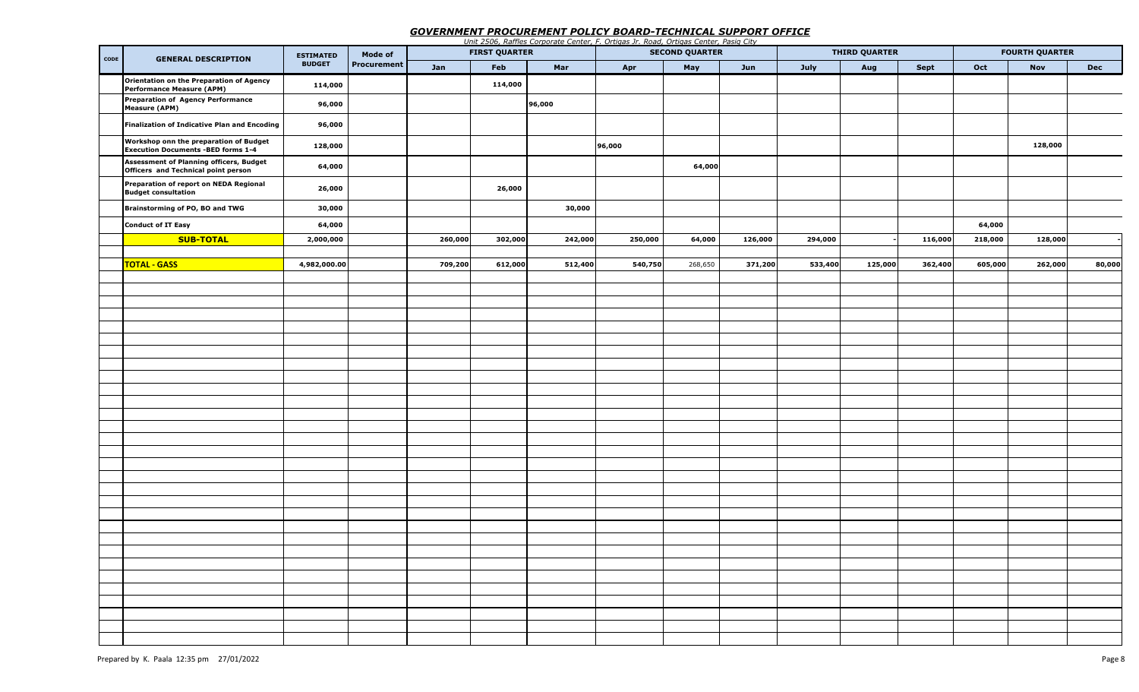## *GOVERNMENT PROCUREMENT POLICY BOARD-TECHNICAL SUPPORT OFFICE*

|      |                                                                                     |                  |             |         |                      |         | Unit 2506, Raffles Corporate Center, F. Ortigas Jr. Road, Ortigas Center, Pasig City |                       |         |         |                      |             |         |                       |            |
|------|-------------------------------------------------------------------------------------|------------------|-------------|---------|----------------------|---------|--------------------------------------------------------------------------------------|-----------------------|---------|---------|----------------------|-------------|---------|-----------------------|------------|
| CODE | <b>GENERAL DESCRIPTION</b>                                                          | <b>ESTIMATED</b> | Mode of     |         | <b>FIRST QUARTER</b> |         |                                                                                      | <b>SECOND QUARTER</b> |         |         | <b>THIRD QUARTER</b> |             |         | <b>FOURTH QUARTER</b> |            |
|      |                                                                                     | <b>BUDGET</b>    | Procurement | Jan     | Feb                  | Mar     | Apr                                                                                  | May                   | Jun     | July    | Aug                  | <b>Sept</b> | Oct     | <b>Nov</b>            | <b>Dec</b> |
|      | Orientation on the Preparation of Agency<br>Performance Measure (APM)               | 114,000          |             |         | 114,000              |         |                                                                                      |                       |         |         |                      |             |         |                       |            |
|      | Preparation of Agency Performance<br><b>Measure (APM)</b>                           | 96,000           |             |         |                      | 96,000  |                                                                                      |                       |         |         |                      |             |         |                       |            |
|      | Finalization of Indicative Plan and Encoding                                        | 96,000           |             |         |                      |         |                                                                                      |                       |         |         |                      |             |         |                       |            |
|      | Workshop onn the preparation of Budget<br><b>Execution Documents -BED forms 1-4</b> | 128,000          |             |         |                      |         | 96,000                                                                               |                       |         |         |                      |             |         | 128,000               |            |
|      | Assessment of Planning officers, Budget<br>Officers and Technical point person      | 64,000           |             |         |                      |         |                                                                                      | 64,000                |         |         |                      |             |         |                       |            |
|      | Preparation of report on NEDA Regional<br><b>Budget consultation</b>                | 26,000           |             |         | 26,000               |         |                                                                                      |                       |         |         |                      |             |         |                       |            |
|      | Brainstorming of PO, BO and TWG                                                     | 30,000           |             |         |                      | 30,000  |                                                                                      |                       |         |         |                      |             |         |                       |            |
|      | <b>Conduct of IT Easy</b>                                                           | 64,000           |             |         |                      |         |                                                                                      |                       |         |         |                      |             | 64,000  |                       |            |
|      | SUB-TOTAL                                                                           | 2,000,000        |             | 260,000 | 302,000              | 242,000 | 250,000                                                                              | 64,000                | 126,000 | 294,000 |                      | 116,000     | 218,000 | 128,000               |            |
|      | <b>TOTAL - GASS</b>                                                                 | 4,982,000.00     |             | 709,200 | 612,000              | 512,400 | 540,750                                                                              | 268,650               | 371,200 | 533,400 | 125,000              | 362,400     | 605,000 | 262,000               | 80,000     |
|      |                                                                                     |                  |             |         |                      |         |                                                                                      |                       |         |         |                      |             |         |                       |            |
|      |                                                                                     |                  |             |         |                      |         |                                                                                      |                       |         |         |                      |             |         |                       |            |
|      |                                                                                     |                  |             |         |                      |         |                                                                                      |                       |         |         |                      |             |         |                       |            |
|      |                                                                                     |                  |             |         |                      |         |                                                                                      |                       |         |         |                      |             |         |                       |            |
|      |                                                                                     |                  |             |         |                      |         |                                                                                      |                       |         |         |                      |             |         |                       |            |
|      |                                                                                     |                  |             |         |                      |         |                                                                                      |                       |         |         |                      |             |         |                       |            |
|      |                                                                                     |                  |             |         |                      |         |                                                                                      |                       |         |         |                      |             |         |                       |            |
|      |                                                                                     |                  |             |         |                      |         |                                                                                      |                       |         |         |                      |             |         |                       |            |
|      |                                                                                     |                  |             |         |                      |         |                                                                                      |                       |         |         |                      |             |         |                       |            |
|      |                                                                                     |                  |             |         |                      |         |                                                                                      |                       |         |         |                      |             |         |                       |            |
|      |                                                                                     |                  |             |         |                      |         |                                                                                      |                       |         |         |                      |             |         |                       |            |
|      |                                                                                     |                  |             |         |                      |         |                                                                                      |                       |         |         |                      |             |         |                       |            |
|      |                                                                                     |                  |             |         |                      |         |                                                                                      |                       |         |         |                      |             |         |                       |            |
|      |                                                                                     |                  |             |         |                      |         |                                                                                      |                       |         |         |                      |             |         |                       |            |
|      |                                                                                     |                  |             |         |                      |         |                                                                                      |                       |         |         |                      |             |         |                       |            |
|      |                                                                                     |                  |             |         |                      |         |                                                                                      |                       |         |         |                      |             |         |                       |            |
|      |                                                                                     |                  |             |         |                      |         |                                                                                      |                       |         |         |                      |             |         |                       |            |
|      |                                                                                     |                  |             |         |                      |         |                                                                                      |                       |         |         |                      |             |         |                       |            |
|      |                                                                                     |                  |             |         |                      |         |                                                                                      |                       |         |         |                      |             |         |                       |            |
|      |                                                                                     |                  |             |         |                      |         |                                                                                      |                       |         |         |                      |             |         |                       |            |
|      |                                                                                     |                  |             |         |                      |         |                                                                                      |                       |         |         |                      |             |         |                       |            |
|      |                                                                                     |                  |             |         |                      |         |                                                                                      |                       |         |         |                      |             |         |                       |            |
|      |                                                                                     |                  |             |         |                      |         |                                                                                      |                       |         |         |                      |             |         |                       |            |
|      |                                                                                     |                  |             |         |                      |         |                                                                                      |                       |         |         |                      |             |         |                       |            |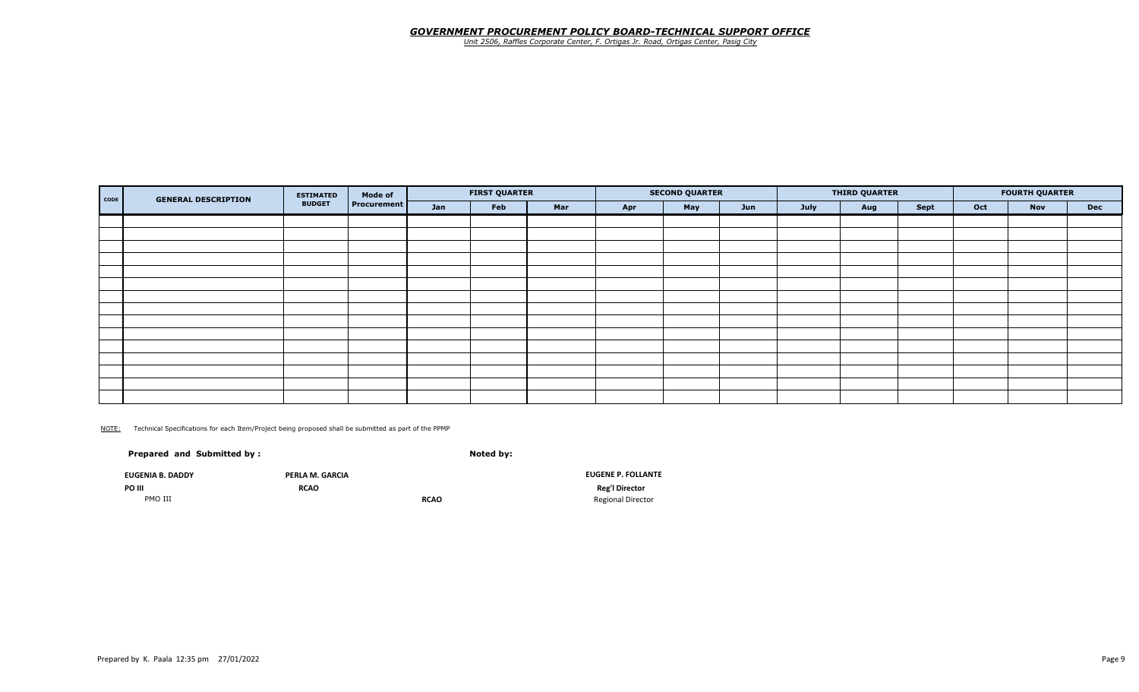### *GOVERNMENT PROCUREMENT POLICY BOARD-TECHNICAL SUPPORT OFFICE*

*Unit 2506, Raffles Corporate Center, F. Ortigas Jr. Road, Ortigas Center, Pasig City*

| <b>GENERAL DESCRIPTION</b><br><b>CODE</b> | <b>ESTIMATED</b> | Mode of            |     | <b>FIRST QUARTER</b> |     |     | <b>SECOND QUARTER</b> |     |      | <b>THIRD QUARTER</b> |      |     | <b>FOURTH QUARTER</b> |            |
|-------------------------------------------|------------------|--------------------|-----|----------------------|-----|-----|-----------------------|-----|------|----------------------|------|-----|-----------------------|------------|
|                                           | <b>BUDGET</b>    | <b>Procurement</b> | Jan | Feb                  | Mar | Apr | May                   | Jun | July | Aug                  | Sept | Oct | <b>Nov</b>            | <b>Dec</b> |
|                                           |                  |                    |     |                      |     |     |                       |     |      |                      |      |     |                       |            |
|                                           |                  |                    |     |                      |     |     |                       |     |      |                      |      |     |                       |            |
|                                           |                  |                    |     |                      |     |     |                       |     |      |                      |      |     |                       |            |
|                                           |                  |                    |     |                      |     |     |                       |     |      |                      |      |     |                       |            |
|                                           |                  |                    |     |                      |     |     |                       |     |      |                      |      |     |                       |            |
|                                           |                  |                    |     |                      |     |     |                       |     |      |                      |      |     |                       |            |
|                                           |                  |                    |     |                      |     |     |                       |     |      |                      |      |     |                       |            |
|                                           |                  |                    |     |                      |     |     |                       |     |      |                      |      |     |                       |            |
|                                           |                  |                    |     |                      |     |     |                       |     |      |                      |      |     |                       |            |
|                                           |                  |                    |     |                      |     |     |                       |     |      |                      |      |     |                       |            |
|                                           |                  |                    |     |                      |     |     |                       |     |      |                      |      |     |                       |            |
|                                           |                  |                    |     |                      |     |     |                       |     |      |                      |      |     |                       |            |
|                                           |                  |                    |     |                      |     |     |                       |     |      |                      |      |     |                       |            |
|                                           |                  |                    |     |                      |     |     |                       |     |      |                      |      |     |                       |            |
|                                           |                  |                    |     |                      |     |     |                       |     |      |                      |      |     |                       |            |

NOTE: Technical Specifications for each Item/Project being proposed shall be submitted as part of the PPMP

| Prepared and Submitted by: |                 | Noted by:   |                           |
|----------------------------|-----------------|-------------|---------------------------|
| <b>EUGENIA B. DADDY</b>    | PERLA M. GARCIA |             | <b>EUGENE P. FOLLANTE</b> |
| PO III                     | <b>RCAO</b>     |             | <b>Reg'l Director</b>     |
| PMO III                    |                 | <b>RCAO</b> | <b>Regional Director</b>  |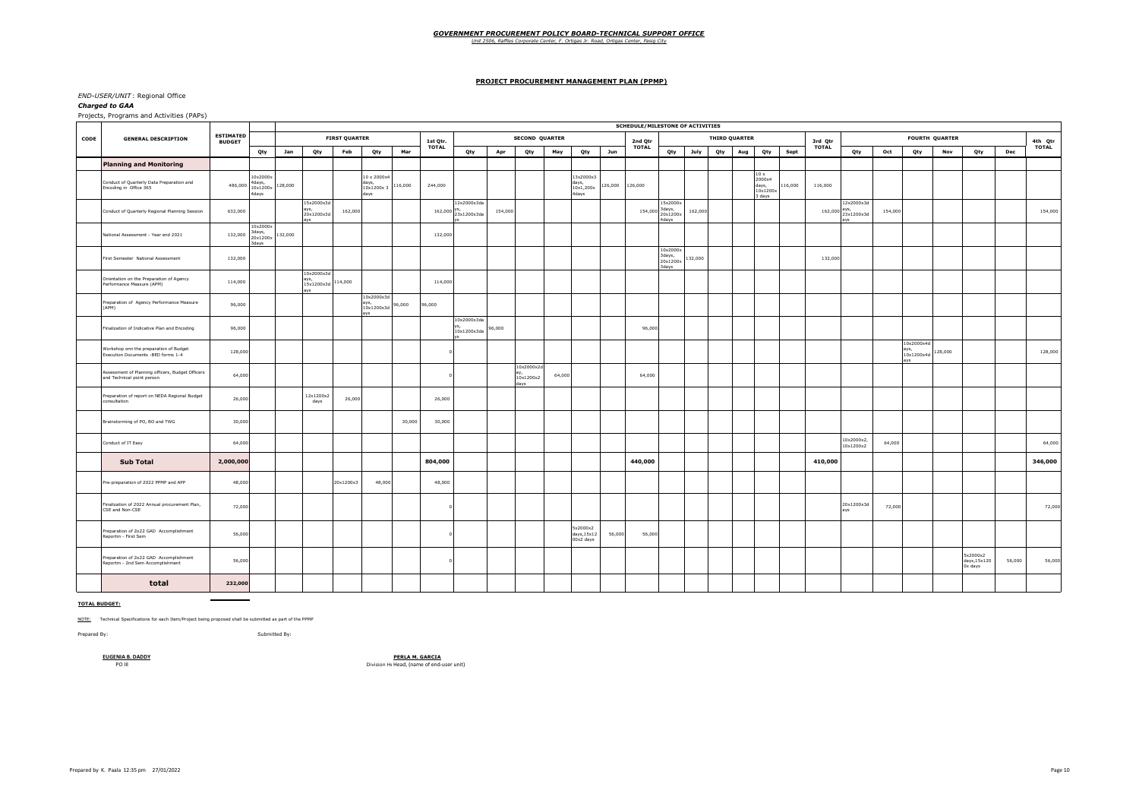## *GOVERNMENT PROCUREMENT POLICY BOARD-TECHNICAL SUPPORT OFFICE Unit 2506, Raffles Corporate Center, F. Ortigas Jr. Road, Ortigas Center, Pasig City*

#### **PROJECT PROCUREMENT MANAGEMENT PLAN (PPMP)**

#### *END-USER/UNIT* : Regional Office

#### *Charged to GAA*

Projects, Programs and Activities (PAPs)

|      |                                                                                |                                   |                                         |         |                                         |         |                      |                                           |         |                                |                            |         |                                 |        |                                         |         | <b>SCHEDULE/MILESTONE OF ACTIVITIES</b> |                                         |         |     |                      |                                               |         |              |                                              |         |                                        |                       |                                    |        |              |
|------|--------------------------------------------------------------------------------|-----------------------------------|-----------------------------------------|---------|-----------------------------------------|---------|----------------------|-------------------------------------------|---------|--------------------------------|----------------------------|---------|---------------------------------|--------|-----------------------------------------|---------|-----------------------------------------|-----------------------------------------|---------|-----|----------------------|-----------------------------------------------|---------|--------------|----------------------------------------------|---------|----------------------------------------|-----------------------|------------------------------------|--------|--------------|
| CODE | <b>GENERAL DESCRIPTION</b>                                                     | <b>ESTIMATED</b><br><b>BUDGET</b> |                                         |         |                                         |         | <b>FIRST QUARTER</b> |                                           |         | 1st Qtr.                       |                            |         | <b>SECOND QUARTER</b>           |        |                                         |         | 2nd Qtr                                 |                                         |         |     | <b>THIRD QUARTER</b> |                                               |         | 3rd Qtr      |                                              |         |                                        | <b>FOURTH QUARTER</b> |                                    |        | 4th Qtr      |
|      |                                                                                |                                   | Qty                                     | Jan     | Qty                                     |         | Feb                  | Qty                                       | Mar     | <b>TOTAL</b>                   | Qty                        | Apr     | Qty                             | May    | Qty                                     | Jun     | <b>TOTAL</b>                            | Qty                                     | July    | Qty | Aug                  | Qty                                           | Sept    | <b>TOTAL</b> | Qty                                          | Oct     | Qty                                    | Nov                   | Qty                                | Dec    | <b>TOTAL</b> |
|      | <b>Planning and Monitoring</b>                                                 |                                   |                                         |         |                                         |         |                      |                                           |         |                                |                            |         |                                 |        |                                         |         |                                         |                                         |         |     |                      |                                               |         |              |                                              |         |                                        |                       |                                    |        |              |
|      | Conduct of Quarterly Data Preparation and<br>Encoding in Office 365            | 486,000                           | 10x2000x<br>4days,<br>10x1200x<br>4days | 128,000 |                                         |         |                      | 10 x 2000x4<br>days,<br>10x1200x3<br>days | 116,000 | 244,000                        |                            |         |                                 |        | 3x2000x3<br>days,<br>10x1,200x<br>4days | 126,000 | 126,000                                 |                                         |         |     |                      | 10 x<br>2000x4<br>days,<br>10x1200x<br>3 days | 116,000 | 116,000      |                                              |         |                                        |                       |                                    |        |              |
|      | Conduct of Quarterly Regional Planning Session                                 | 632,000                           |                                         |         | 15x2000x3d<br>ays,<br>20x1200x3d<br>ave |         | 162,000              |                                           |         | $162,000 \frac{\text{yS}}{22}$ | 12x2000x3da<br>23x1200x3da | 154,000 |                                 |        |                                         |         | 154,000                                 | 15x2000x<br>3days,<br>20x1200x<br>4days | 162,000 |     |                      |                                               |         |              | 12x2000x3d<br>$162,000$ ays,<br>$23x1200x3d$ | 154,000 |                                        |                       |                                    |        | 154,000      |
|      | National Assessment - Year end 2021                                            | 132,000                           | 10x2000x<br>3days,<br>20x1200x<br>3days | 132,000 |                                         |         |                      |                                           |         | 132,000                        |                            |         |                                 |        |                                         |         |                                         |                                         |         |     |                      |                                               |         |              |                                              |         |                                        |                       |                                    |        |              |
|      | First Semester National Assessment                                             | 132,000                           |                                         |         |                                         |         |                      |                                           |         |                                |                            |         |                                 |        |                                         |         |                                         | 10x2000x<br>3days,<br>20x1200x<br>avah? | 132,000 |     |                      |                                               |         | 132,000      |                                              |         |                                        |                       |                                    |        |              |
|      | Orientation on the Preparation of Agency<br>Performance Measure (APM)          | 114,000                           |                                         |         | 10x2000x3d<br>ays,<br>15x1200x3d<br>avs | 114,000 |                      |                                           |         | 114,000                        |                            |         |                                 |        |                                         |         |                                         |                                         |         |     |                      |                                               |         |              |                                              |         |                                        |                       |                                    |        |              |
|      | Preparation of Agency Performance Measure<br>(APM)                             | 96,000                            |                                         |         |                                         |         | avs<br>avs           | 10x2000x3d<br>10x1200x3d                  | 96,000  | 96,000                         |                            |         |                                 |        |                                         |         |                                         |                                         |         |     |                      |                                               |         |              |                                              |         |                                        |                       |                                    |        |              |
|      | Finalization of Indicative Plan and Encoding                                   | 96,000                            |                                         |         |                                         |         |                      |                                           |         |                                | 10x2000x3da<br>10x1200x3da | 96,000  |                                 |        |                                         |         | 96,000                                  |                                         |         |     |                      |                                               |         |              |                                              |         |                                        |                       |                                    |        |              |
|      | Workshop onn the preparation of Budget<br>Execution Documents -BED forms 1-4   | 128,000                           |                                         |         |                                         |         |                      |                                           |         |                                |                            |         |                                 |        |                                         |         |                                         |                                         |         |     |                      |                                               |         |              |                                              |         | 10x2000x4d<br>ays<br>10x1200x4d<br>avs | 128,000               |                                    |        | 128,000      |
|      | Assessment of Planning officers, Budget Officers<br>and Technical point person | 64,000                            |                                         |         |                                         |         |                      |                                           |         |                                |                            |         | 10x2000x2d<br>10x1200x2<br>days | 64,000 |                                         |         | 64,000                                  |                                         |         |     |                      |                                               |         |              |                                              |         |                                        |                       |                                    |        |              |
|      | Preparation of report on NEDA Regional Budget<br>consultation                  | 26,000                            |                                         |         | 12x1200x2<br>days                       |         | 26,000               |                                           |         | 26,000                         |                            |         |                                 |        |                                         |         |                                         |                                         |         |     |                      |                                               |         |              |                                              |         |                                        |                       |                                    |        |              |
|      | Brainstorming of PO, BO and TWG                                                | 30,000                            |                                         |         |                                         |         |                      |                                           | 30,000  | 30,000                         |                            |         |                                 |        |                                         |         |                                         |                                         |         |     |                      |                                               |         |              |                                              |         |                                        |                       |                                    |        |              |
|      | Conduct of IT Easy                                                             | 64,000                            |                                         |         |                                         |         |                      |                                           |         |                                |                            |         |                                 |        |                                         |         |                                         |                                         |         |     |                      |                                               |         |              | 10x2000x2<br>10x1200x2                       | 64,000  |                                        |                       |                                    |        | 64,000       |
|      | <b>Sub Total</b>                                                               | 2,000,000                         |                                         |         |                                         |         |                      |                                           |         | 804,000                        |                            |         |                                 |        |                                         |         | 440,000                                 |                                         |         |     |                      |                                               |         | 410,000      |                                              |         |                                        |                       |                                    |        | 346,000      |
|      | Pre-preparation of 2022 PPMP and APP                                           | 48,000                            |                                         |         |                                         |         | 20x1200x3            | 48,000                                    |         | 48,000                         |                            |         |                                 |        |                                         |         |                                         |                                         |         |     |                      |                                               |         |              |                                              |         |                                        |                       |                                    |        |              |
|      | Finalization of 2022 Annual procurement Plan,<br>CSE and Non-CSE               | 72,000                            |                                         |         |                                         |         |                      |                                           |         |                                |                            |         |                                 |        |                                         |         |                                         |                                         |         |     |                      |                                               |         |              | 20x1200x3d<br>avs                            | 72,000  |                                        |                       |                                    |        | 72,000       |
|      | Preparation of 2o22 GAD Accomplishment<br>Reportm - First Sem                  | 56,000                            |                                         |         |                                         |         |                      |                                           |         |                                |                            |         |                                 |        | 5x2000x2<br>days, 15x12<br>00x2 days    | 56,000  | 56,000                                  |                                         |         |     |                      |                                               |         |              |                                              |         |                                        |                       |                                    |        |              |
|      | Preparation of 2o22 GAD Accomplishment<br>Reportm - 2nd Sem Accomplishment     | 56,000                            |                                         |         |                                         |         |                      |                                           |         |                                |                            |         |                                 |        |                                         |         |                                         |                                         |         |     |                      |                                               |         |              |                                              |         |                                        |                       | 5x2000x2<br>days,15x120<br>0x days | 56,000 | 56,000       |
|      | total                                                                          | 232,000                           |                                         |         |                                         |         |                      |                                           |         |                                |                            |         |                                 |        |                                         |         |                                         |                                         |         |     |                      |                                               |         |              |                                              |         |                                        |                       |                                    |        |              |

**TOTAL BUDGET:**

NOTE: Technical Specifications for each Item/Project being proposed shall be submitted as part of the PPMP

 $\sim$ 

Prepared By: Submitted By:

**EUGENIA B. DADDY PERLA M. GARCIA**<br>PO III PO III PO III PO III PO III PO III Division Head, (name of end-user unit)

Prepared by K. Paala 12:35 pm 27/01/2022 Page 10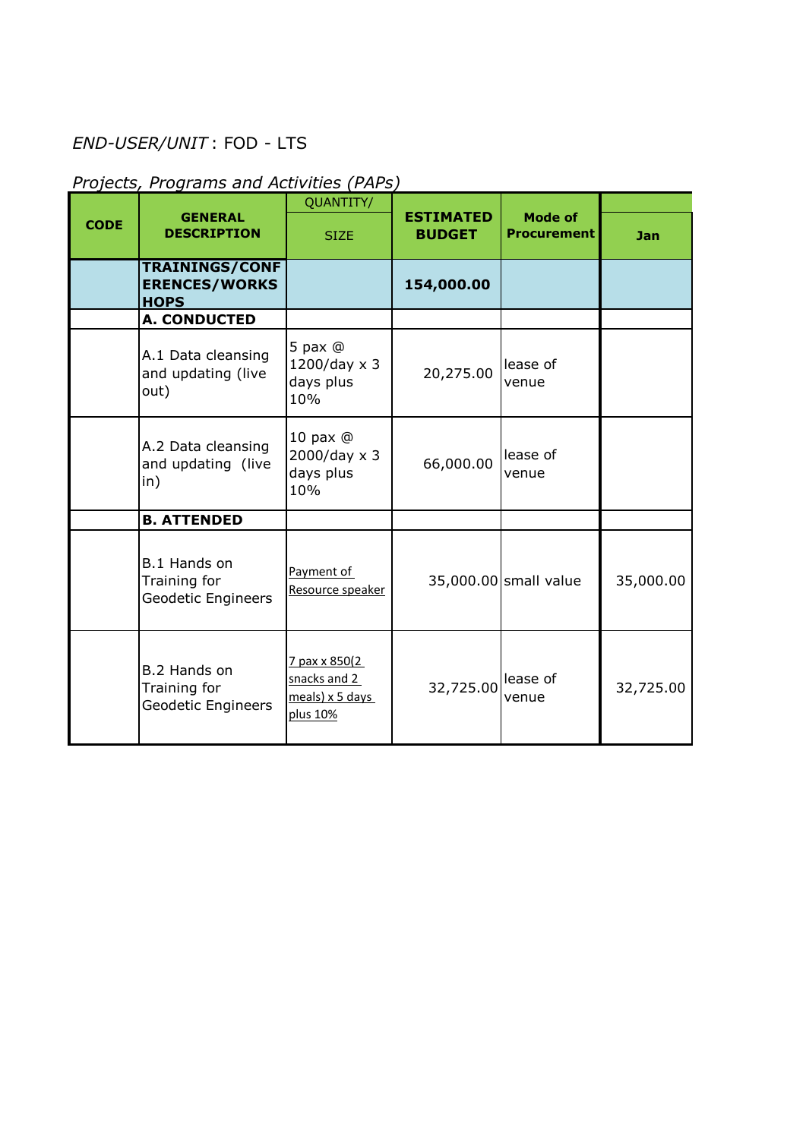# *END-USER/UNIT* : FOD - LTS

# *Projects, Programs and Activities (PAPs)*

|             |                                                              | QUANTITY/                                                       |                                   |                                      |            |
|-------------|--------------------------------------------------------------|-----------------------------------------------------------------|-----------------------------------|--------------------------------------|------------|
| <b>CODE</b> | <b>GENERAL</b><br><b>DESCRIPTION</b>                         | <b>SIZE</b>                                                     | <b>ESTIMATED</b><br><b>BUDGET</b> | <b>Mode of</b><br><b>Procurement</b> | <b>Jan</b> |
|             | <b>TRAININGS/CONF</b><br><b>ERENCES/WORKS</b><br><b>HOPS</b> |                                                                 | 154,000.00                        |                                      |            |
|             | A. CONDUCTED                                                 |                                                                 |                                   |                                      |            |
|             | A.1 Data cleansing<br>and updating (live<br>out)             | 5 pax $@$<br>$1200$ /day x 3<br>days plus<br>10%                | 20,275.00                         | lease of<br>venue                    |            |
|             | A.2 Data cleansing<br>and updating (live<br>in)              | 10 pax $@$<br>$2000$ /day x 3<br>days plus<br>10%               | 66,000.00                         | lease of<br>venue                    |            |
|             | <b>B. ATTENDED</b>                                           |                                                                 |                                   |                                      |            |
|             | B.1 Hands on<br>Training for<br>Geodetic Engineers           | Payment of<br>Resource speaker                                  |                                   | 35,000.00 small value                | 35,000.00  |
|             | B.2 Hands on<br>Training for<br>Geodetic Engineers           | 7 pax x 850(2<br>snacks and 2<br>$meals$ ) x 5 days<br>plus 10% | 32,725.00 lease of                | venue                                | 32,725.00  |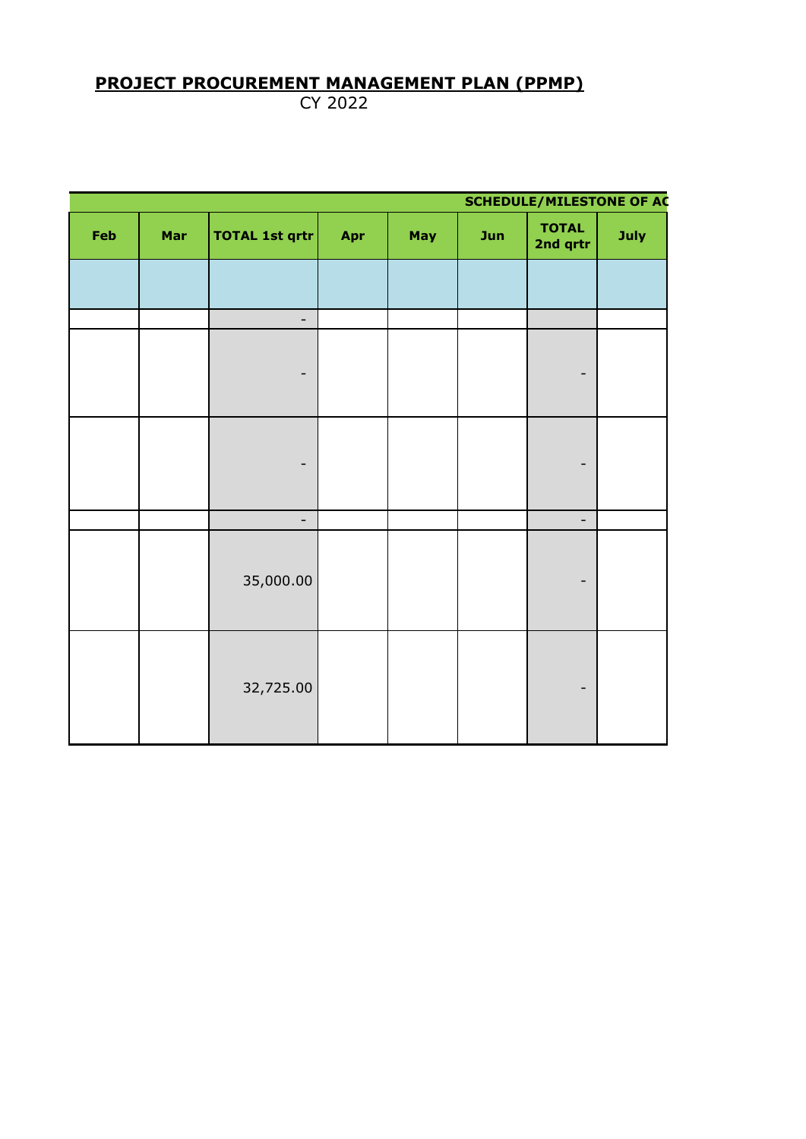# **PROJECT PROCUREMENT MANAGEMENT PLAN (PPMP)**

CY 2022

|     | <b>SCHEDULE/MILESTONE OF AC</b> |                          |     |     |     |                          |      |  |  |  |
|-----|---------------------------------|--------------------------|-----|-----|-----|--------------------------|------|--|--|--|
| Feb | Mar                             | <b>TOTAL 1st qrtr</b>    | Apr | May | Jun | <b>TOTAL</b><br>2nd qrtr | July |  |  |  |
|     |                                 |                          |     |     |     |                          |      |  |  |  |
|     |                                 | $\overline{\phantom{a}}$ |     |     |     |                          |      |  |  |  |
|     |                                 | -                        |     |     |     |                          |      |  |  |  |
|     |                                 | -                        |     |     |     | -                        |      |  |  |  |
|     |                                 | $\blacksquare$           |     |     |     | $\overline{\phantom{0}}$ |      |  |  |  |
|     |                                 | 35,000.00                |     |     |     |                          |      |  |  |  |
|     |                                 | 32,725.00                |     |     |     |                          |      |  |  |  |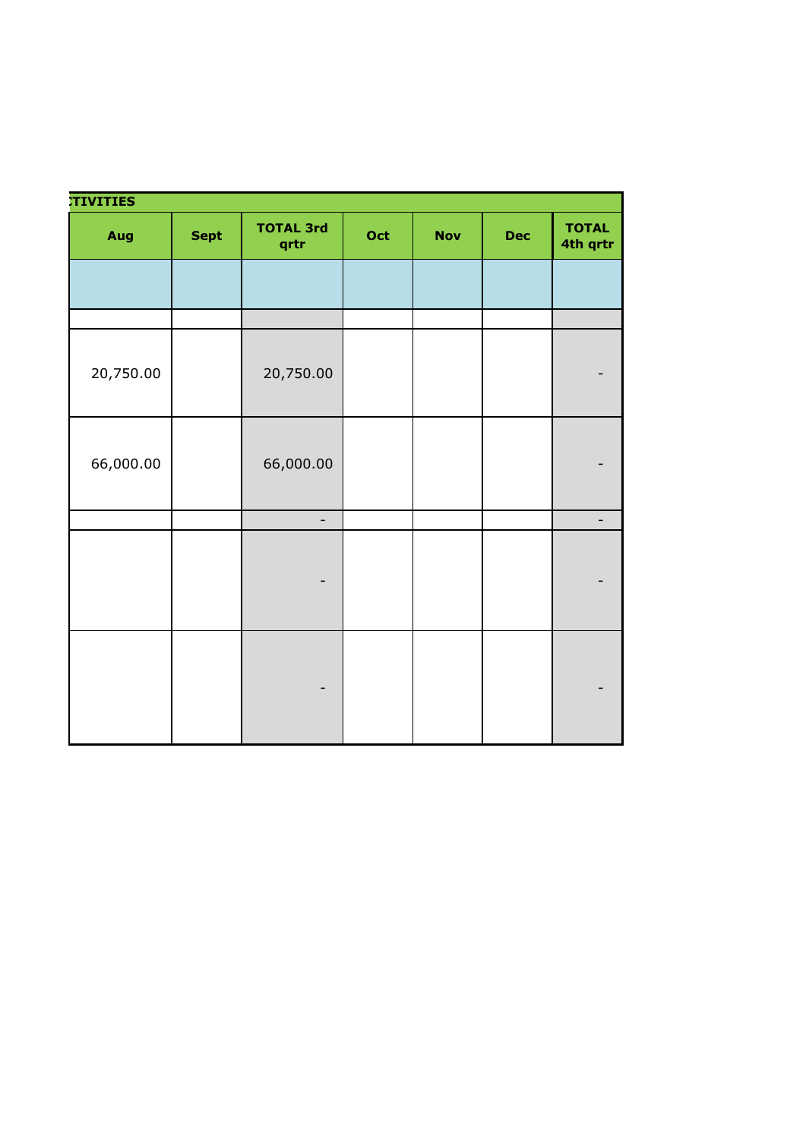| <b>TIVITIES</b> |             |                          |     |            |            |                              |
|-----------------|-------------|--------------------------|-----|------------|------------|------------------------------|
| Aug             | <b>Sept</b> | <b>TOTAL 3rd</b><br>qrtr | Oct | <b>Nov</b> | <b>Dec</b> | <b>TOTAL</b><br>4th qrtr     |
|                 |             |                          |     |            |            |                              |
|                 |             |                          |     |            |            |                              |
| 20,750.00       |             | 20,750.00                |     |            |            | $\qquad \qquad \blacksquare$ |
| 66,000.00       |             | 66,000.00                |     |            |            |                              |
|                 |             | $\blacksquare$           |     |            |            | $\sim$ $^{-1}$               |
|                 |             | $\overline{a}$           |     |            |            | $\overline{\phantom{a}}$     |
|                 |             | -                        |     |            |            |                              |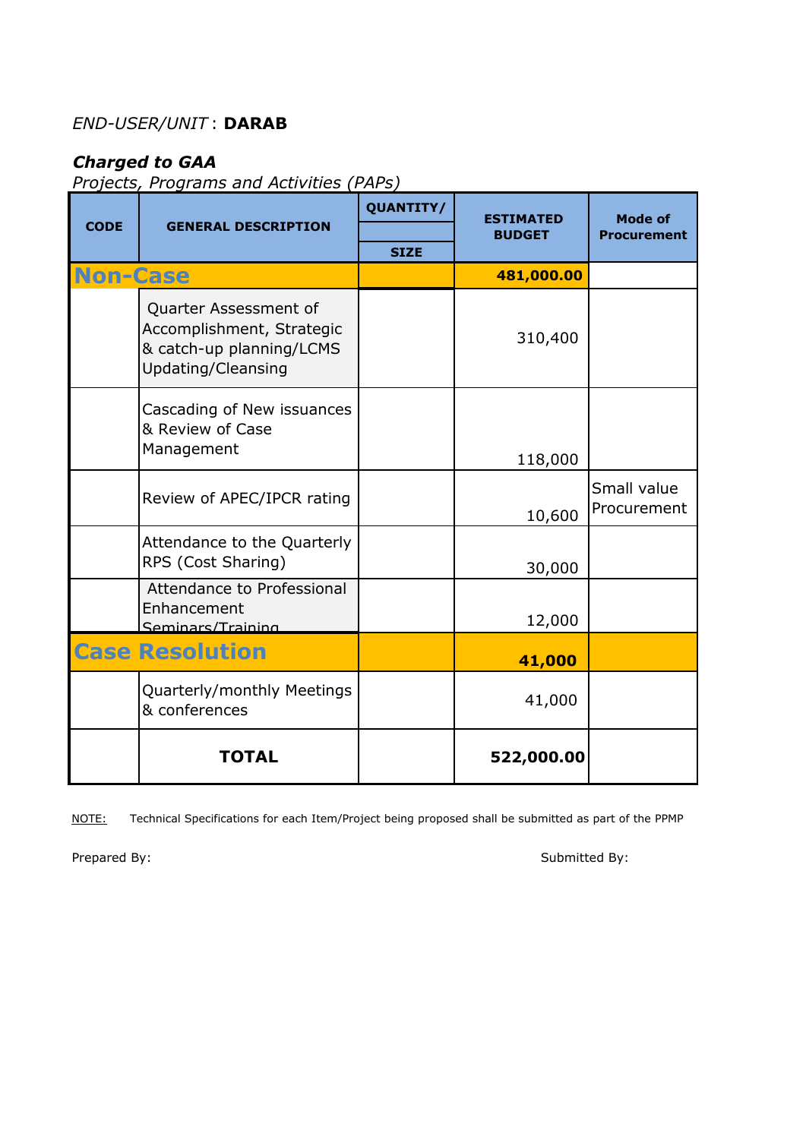## *END-USER/UNIT* : **DARAB**

# *Charged to GAA*

*Projects, Programs and Activities (PAPs)*

|                 |                                                                                                      | QUANTITY/   | ESTIMATED     | Mode of                    |
|-----------------|------------------------------------------------------------------------------------------------------|-------------|---------------|----------------------------|
| <b>CODE</b>     | <b>GENERAL DESCRIPTION</b>                                                                           |             | <b>BUDGET</b> | <b>Procurement</b>         |
| <b>Non-Case</b> |                                                                                                      | <b>SIZE</b> | 481,000.00    |                            |
|                 | Quarter Assessment of<br>Accomplishment, Strategic<br>& catch-up planning/LCMS<br>Updating/Cleansing |             | 310,400       |                            |
|                 | Cascading of New issuances<br>& Review of Case<br>Management                                         |             | 118,000       |                            |
|                 | Review of APEC/IPCR rating                                                                           |             | 10,600        | Small value<br>Procurement |
|                 | Attendance to the Quarterly<br>RPS (Cost Sharing)                                                    |             | 30,000        |                            |
|                 | Attendance to Professional<br>Enhancement<br>Seminars/Training                                       |             | 12,000        |                            |
|                 | <b>Case Resolution</b>                                                                               |             | 41,000        |                            |
|                 | Quarterly/monthly Meetings<br>& conferences                                                          |             | 41,000        |                            |
|                 | <b>TOTAL</b>                                                                                         |             | 522,000.00    |                            |

NOTE: Technical Specifications for each Item/Project being proposed shall be submitted as part of the PPMP

Prepared By: Submitted By: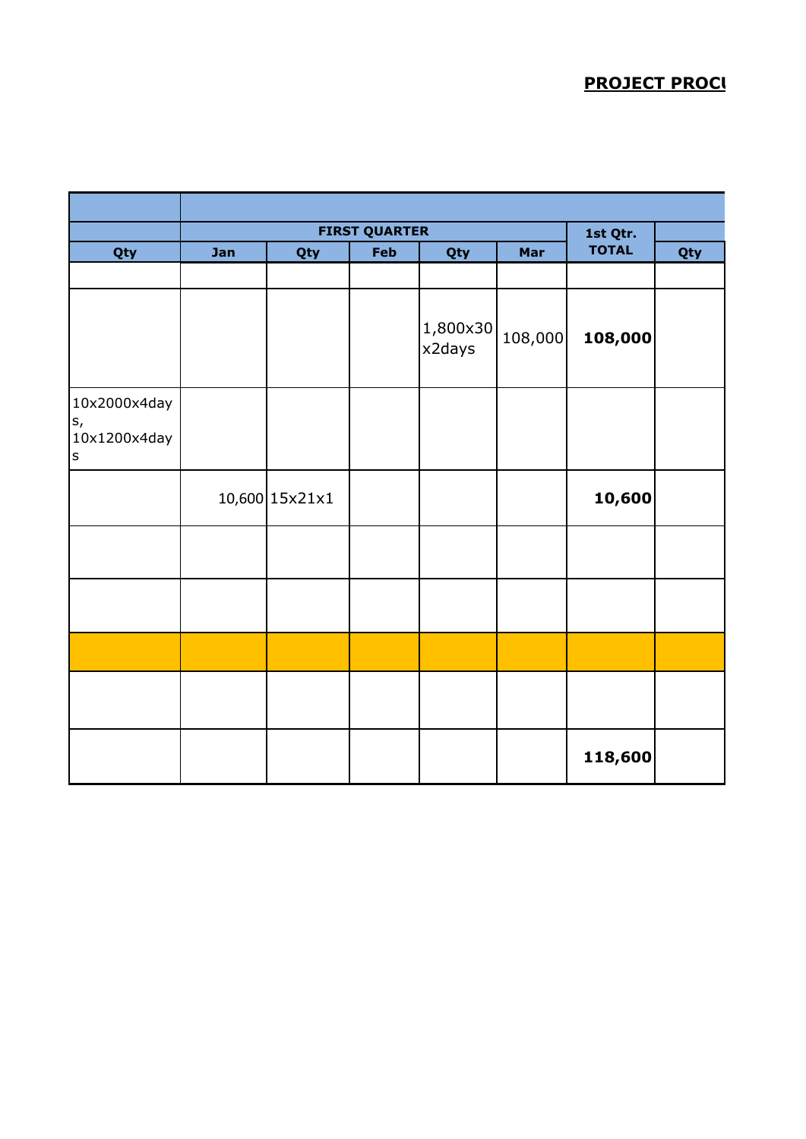## **PROJECT PROCU**

|                                                      |     |                | <b>FIRST QUARTER</b> |                    |         | 1st Qtr.     |     |
|------------------------------------------------------|-----|----------------|----------------------|--------------------|---------|--------------|-----|
| Qty                                                  | Jan | Qty            | Feb                  | Qty                | Mar     | <b>TOTAL</b> | Qty |
|                                                      |     |                |                      |                    |         |              |     |
|                                                      |     |                |                      | 1,800×30<br>x2days | 108,000 | 108,000      |     |
| 10x2000x4day<br>$S_{I}$<br>10x1200x4day<br>$\vert$ s |     |                |                      |                    |         |              |     |
|                                                      |     | 10,600 15x21x1 |                      |                    |         | 10,600       |     |
|                                                      |     |                |                      |                    |         |              |     |
|                                                      |     |                |                      |                    |         |              |     |
|                                                      |     |                |                      |                    |         |              |     |
|                                                      |     |                |                      |                    |         |              |     |
|                                                      |     |                |                      |                    |         | 118,600      |     |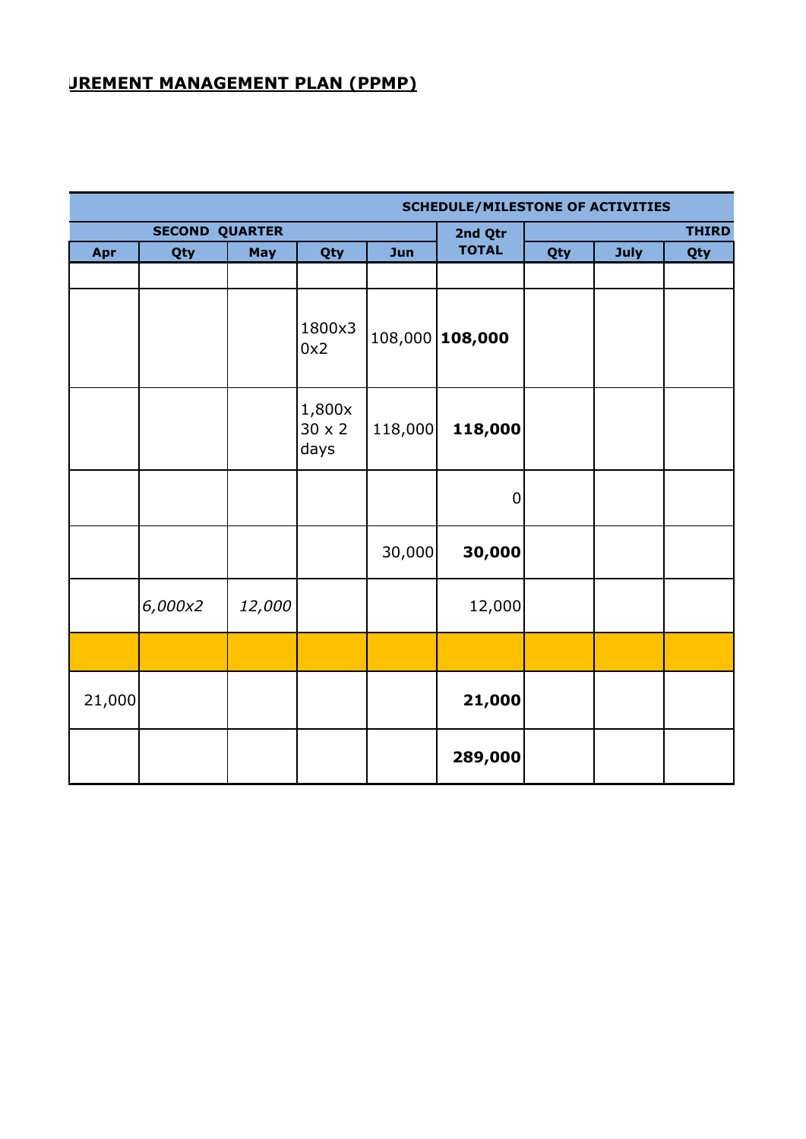## **JREMENT MANAGEMENT PLAN (PPMP)**

|        |                       |        |                                 |         | <b>SCHEDULE/MILESTONE OF ACTIVITIES</b> |              |      |     |  |
|--------|-----------------------|--------|---------------------------------|---------|-----------------------------------------|--------------|------|-----|--|
|        | <b>SECOND QUARTER</b> |        |                                 |         | 2nd Qtr                                 | <b>THIRD</b> |      |     |  |
| Apr    | Qty                   | May    | Qty                             | Jun     | <b>TOTAL</b>                            | Qty          | July | Qty |  |
|        |                       |        |                                 |         |                                         |              |      |     |  |
|        |                       |        | 1800x3<br>0x2                   |         | 108,000 108,000                         |              |      |     |  |
|        |                       |        | 1,800x<br>$30 \times 2$<br>days | 118,000 | 118,000                                 |              |      |     |  |
|        |                       |        |                                 |         | $\overline{0}$                          |              |      |     |  |
|        |                       |        |                                 | 30,000  | 30,000                                  |              |      |     |  |
|        | 6,000x2               | 12,000 |                                 |         | 12,000                                  |              |      |     |  |
|        |                       |        |                                 |         |                                         |              |      |     |  |
| 21,000 |                       |        |                                 |         | 21,000                                  |              |      |     |  |
|        |                       |        |                                 |         | 289,000                                 |              |      |     |  |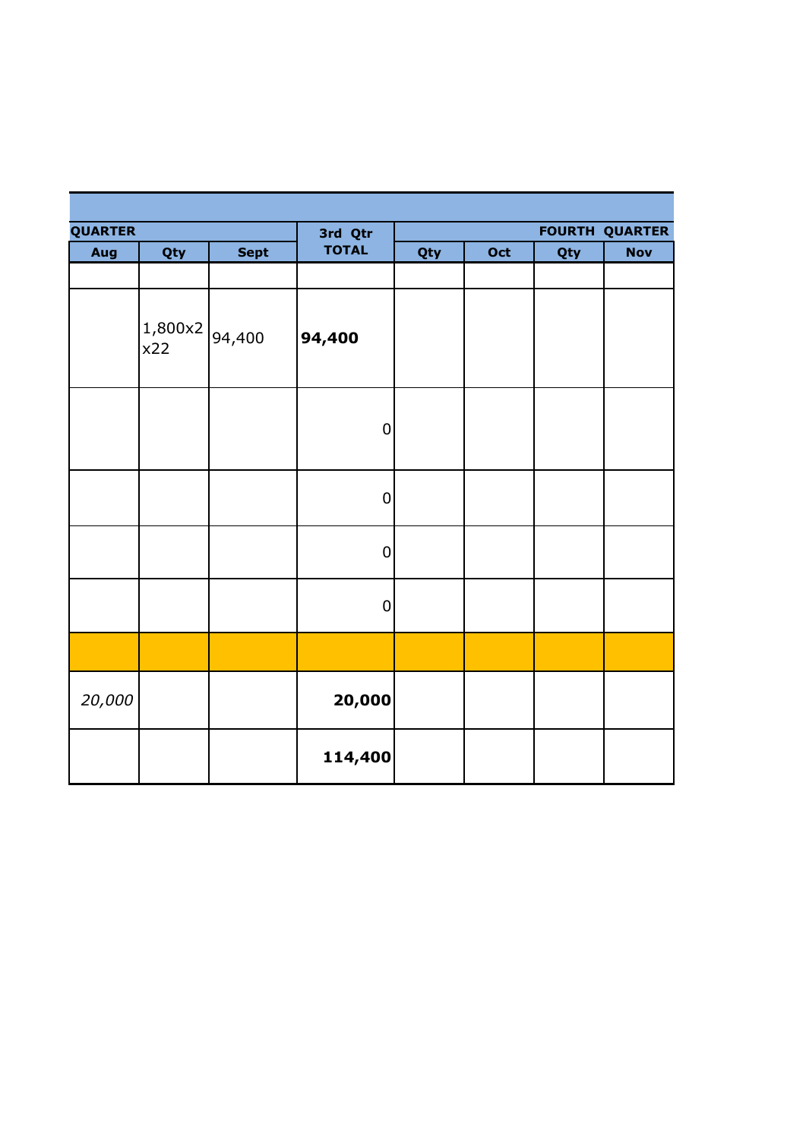| <b>QUARTER</b> |                |             | 3rd Qtr      |     | <b>FOURTH QUARTER</b> |     |            |  |  |
|----------------|----------------|-------------|--------------|-----|-----------------------|-----|------------|--|--|
| Aug            | Qty            | <b>Sept</b> | <b>TOTAL</b> | Qty | Oct                   | Qty | <b>Nov</b> |  |  |
|                |                |             |              |     |                       |     |            |  |  |
|                | 1,800x2<br>x22 | 94,400      | 94,400       |     |                       |     |            |  |  |
|                |                |             | $\mathbf 0$  |     |                       |     |            |  |  |
|                |                |             | $\mathbf 0$  |     |                       |     |            |  |  |
|                |                |             | $\mathbf 0$  |     |                       |     |            |  |  |
|                |                |             | $\pmb{0}$    |     |                       |     |            |  |  |
|                |                |             |              |     |                       |     |            |  |  |
| 20,000         |                |             | 20,000       |     |                       |     |            |  |  |
|                |                |             | 114,400      |     |                       |     |            |  |  |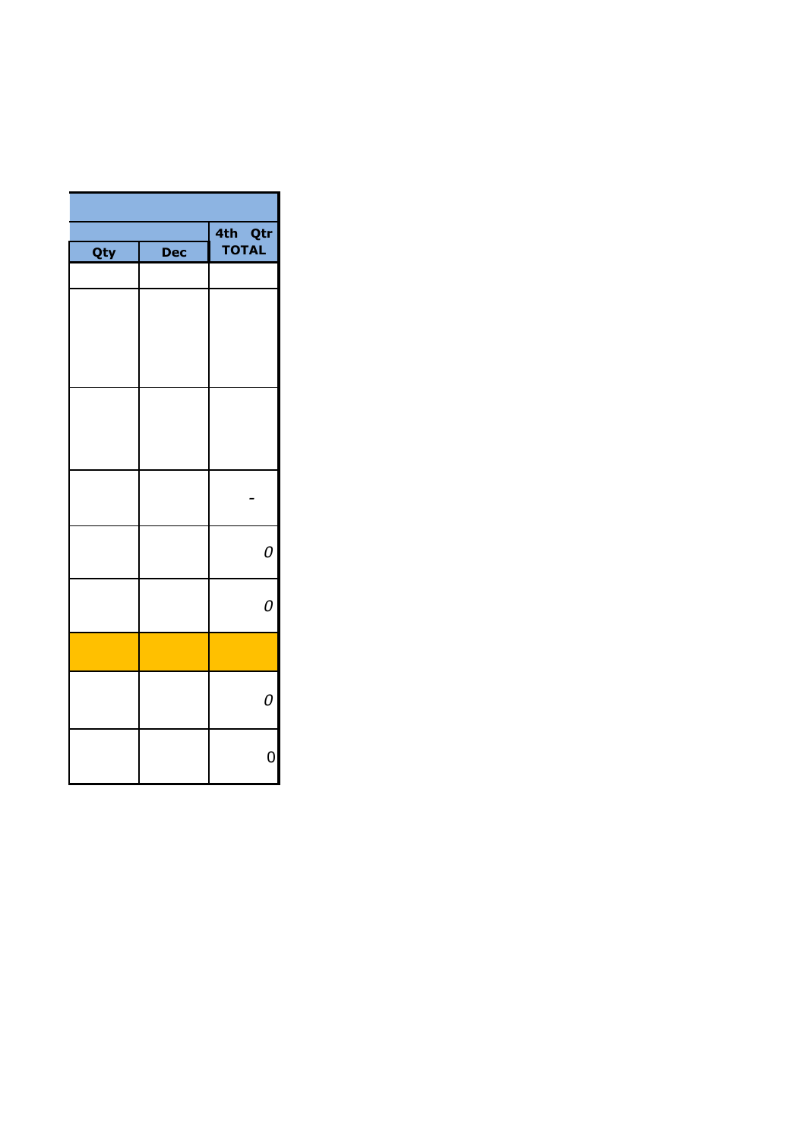|     |     | 4th Qtr<br>TOTAL |
|-----|-----|------------------|
| Qty | Dec |                  |
|     |     |                  |
|     |     |                  |
|     |     |                  |
|     |     |                  |
|     |     |                  |
|     |     |                  |
|     |     |                  |
|     |     |                  |
|     |     |                  |
|     |     |                  |
|     |     |                  |
|     |     | 0                |
|     |     |                  |
|     |     | 0                |
|     |     |                  |
|     |     |                  |
|     |     |                  |
|     |     | 0                |
|     |     |                  |
|     |     | $\mathsf{O}$     |
|     |     |                  |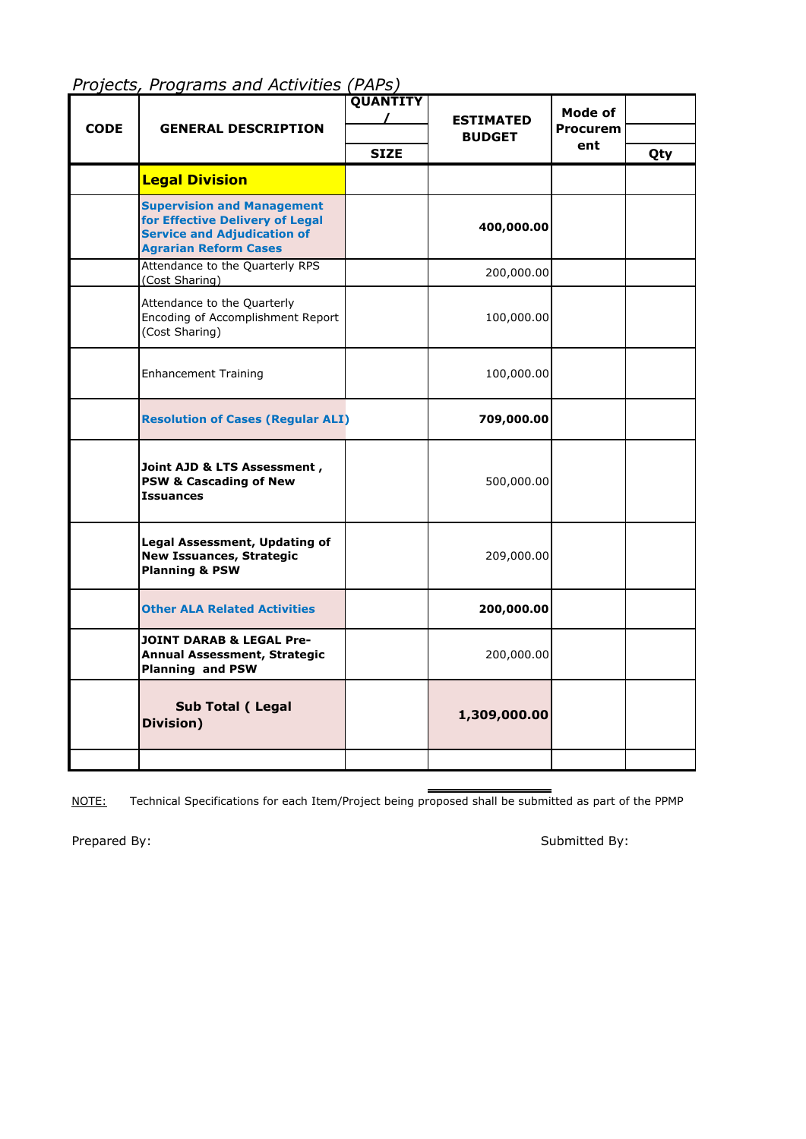|             |                                                                                                                                            | <b>QUANTITY</b> |                                   | <b>Mode of</b>  |     |
|-------------|--------------------------------------------------------------------------------------------------------------------------------------------|-----------------|-----------------------------------|-----------------|-----|
| <b>CODE</b> | <b>GENERAL DESCRIPTION</b>                                                                                                                 |                 | <b>ESTIMATED</b><br><b>BUDGET</b> | <b>Procurem</b> |     |
|             |                                                                                                                                            | <b>SIZE</b>     |                                   | ent             | Qty |
|             | <b>Legal Division</b>                                                                                                                      |                 |                                   |                 |     |
|             | <b>Supervision and Management</b><br>for Effective Delivery of Legal<br><b>Service and Adjudication of</b><br><b>Agrarian Reform Cases</b> |                 | 400,000.00                        |                 |     |
|             | Attendance to the Quarterly RPS<br>(Cost Sharing)                                                                                          |                 | 200,000.00                        |                 |     |
|             | Attendance to the Quarterly<br>Encoding of Accomplishment Report<br>(Cost Sharing)                                                         |                 | 100,000.00                        |                 |     |
|             | <b>Enhancement Training</b>                                                                                                                |                 | 100,000.00                        |                 |     |
|             | <b>Resolution of Cases (Regular ALI)</b>                                                                                                   |                 | 709,000.00                        |                 |     |
|             | Joint AJD & LTS Assessment,<br><b>PSW &amp; Cascading of New</b><br><b>Issuances</b>                                                       |                 | 500,000.00                        |                 |     |
|             | Legal Assessment, Updating of<br><b>New Issuances, Strategic</b><br><b>Planning &amp; PSW</b>                                              |                 | 209,000.00                        |                 |     |
|             | <b>Other ALA Related Activities</b>                                                                                                        |                 | 200,000.00                        |                 |     |
|             | <b>JOINT DARAB &amp; LEGAL Pre-</b><br>Annual Assessment, Strategic<br><b>Planning and PSW</b>                                             |                 | 200,000.00                        |                 |     |
|             | Sub Total (Legal<br>Division)                                                                                                              |                 | 1,309,000.00                      |                 |     |
|             |                                                                                                                                            |                 |                                   |                 |     |

*Projects, Programs and Activities (PAPs)*

NOTE: Technical Specifications for each Item/Project being proposed shall be submitted as part of the PPMP

Prepared By: Submitted By: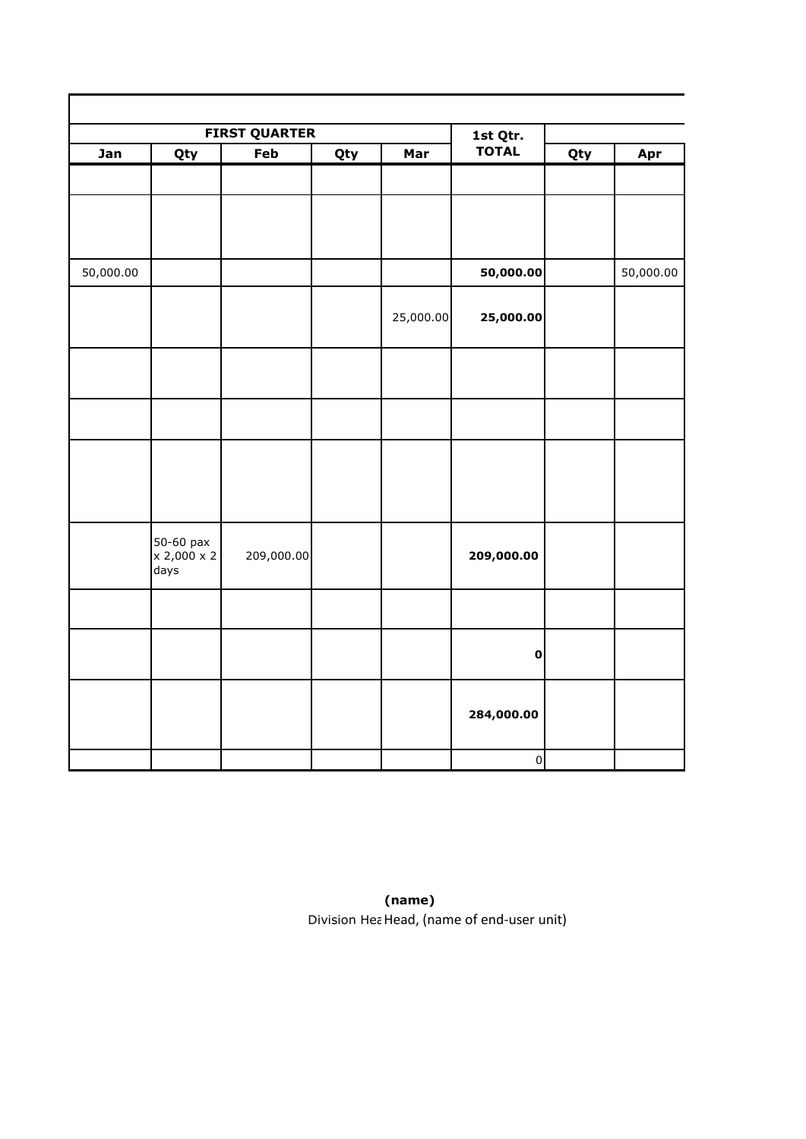|           |                          | <b>FIRST QUARTER</b> |     | 1st Qtr.  |                |     |           |
|-----------|--------------------------|----------------------|-----|-----------|----------------|-----|-----------|
| Jan       | Qty                      | Feb                  | Qty | Mar       | <b>TOTAL</b>   | Qty | Apr       |
|           |                          |                      |     |           |                |     |           |
|           |                          |                      |     |           |                |     |           |
|           |                          |                      |     |           |                |     |           |
|           |                          |                      |     |           |                |     |           |
| 50,000.00 |                          |                      |     |           | 50,000.00      |     | 50,000.00 |
|           |                          |                      |     |           |                |     |           |
|           |                          |                      |     |           |                |     |           |
|           |                          |                      |     | 25,000.00 | 25,000.00      |     |           |
|           |                          |                      |     |           |                |     |           |
|           |                          |                      |     |           |                |     |           |
|           |                          |                      |     |           |                |     |           |
|           |                          |                      |     |           |                |     |           |
|           |                          |                      |     |           |                |     |           |
|           |                          |                      |     |           |                |     |           |
|           |                          |                      |     |           |                |     |           |
|           |                          |                      |     |           |                |     |           |
|           |                          |                      |     |           |                |     |           |
|           | 50-60 pax<br>x 2,000 x 2 | 209,000.00           |     |           | 209,000.00     |     |           |
|           | days                     |                      |     |           |                |     |           |
|           |                          |                      |     |           |                |     |           |
|           |                          |                      |     |           |                |     |           |
|           |                          |                      |     |           |                |     |           |
|           |                          |                      |     |           | $\pmb{0}$      |     |           |
|           |                          |                      |     |           |                |     |           |
|           |                          |                      |     |           | 284,000.00     |     |           |
|           |                          |                      |     |           |                |     |           |
|           |                          |                      |     |           |                |     |           |
|           |                          |                      |     |           | $\overline{0}$ |     |           |

**(name)** Division Hea Head, (name of end-user unit)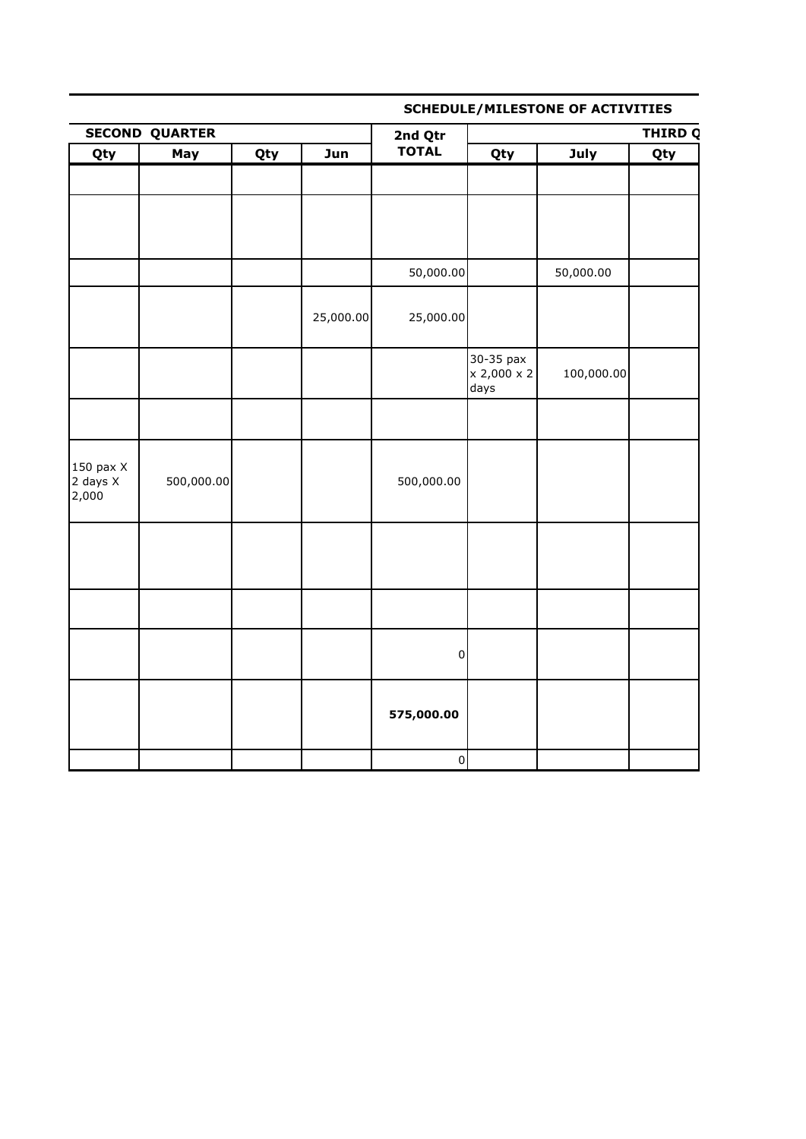## **SCHEDULE/MILESTONE OF ACTIVITIES**

|                                               | <b>SECOND QUARTER</b> |            |           | 2nd Qtr        | <b>THIRD Q</b>                   |            |     |  |
|-----------------------------------------------|-----------------------|------------|-----------|----------------|----------------------------------|------------|-----|--|
| Qty                                           | May                   | <b>Qty</b> | Jun       | <b>TOTAL</b>   | Qty                              | July       | Qty |  |
|                                               |                       |            |           |                |                                  |            |     |  |
|                                               |                       |            |           |                |                                  |            |     |  |
|                                               |                       |            |           |                |                                  |            |     |  |
|                                               |                       |            |           |                |                                  |            |     |  |
|                                               |                       |            |           | 50,000.00      |                                  | 50,000.00  |     |  |
|                                               |                       |            | 25,000.00 | 25,000.00      |                                  |            |     |  |
|                                               |                       |            |           |                | 30-35 pax<br>x 2,000 x 2<br>days | 100,000.00 |     |  |
|                                               |                       |            |           |                |                                  |            |     |  |
| $150$ pax $X$<br>$2 \text{ days } X$<br>2,000 | 500,000.00            |            |           | 500,000.00     |                                  |            |     |  |
|                                               |                       |            |           |                |                                  |            |     |  |
|                                               |                       |            |           |                |                                  |            |     |  |
|                                               |                       |            |           | $\pmb{0}$      |                                  |            |     |  |
|                                               |                       |            |           | 575,000.00     |                                  |            |     |  |
|                                               |                       |            |           | $\overline{0}$ |                                  |            |     |  |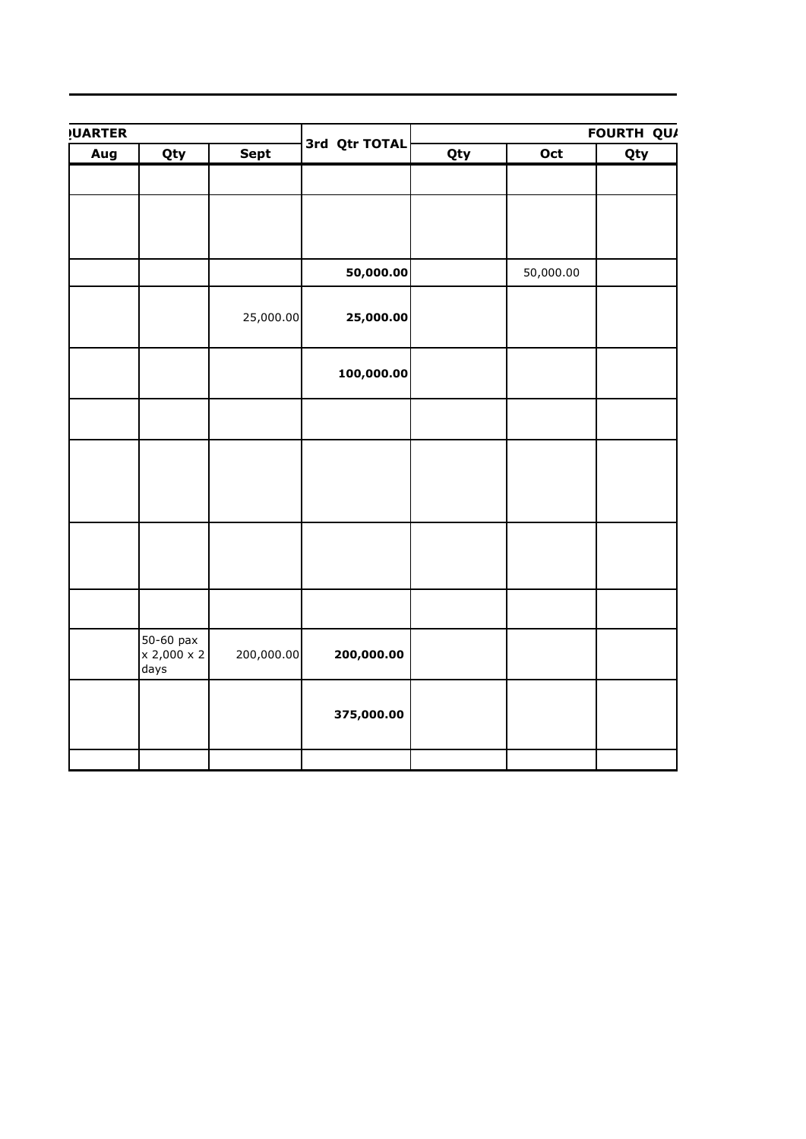| <b>UARTER</b> |             |            | 3rd Qtr TOTAL | FOURTH QUA |           |     |  |
|---------------|-------------|------------|---------------|------------|-----------|-----|--|
| Aug           | Qty         | Sept       |               | Qty        | Oct       | Qty |  |
|               |             |            |               |            |           |     |  |
|               |             |            |               |            |           |     |  |
|               |             |            |               |            |           |     |  |
|               |             |            |               |            |           |     |  |
|               |             |            |               |            |           |     |  |
|               |             |            |               |            |           |     |  |
|               |             |            | 50,000.00     |            | 50,000.00 |     |  |
|               |             |            |               |            |           |     |  |
|               |             |            |               |            |           |     |  |
|               |             | 25,000.00  | 25,000.00     |            |           |     |  |
|               |             |            |               |            |           |     |  |
|               |             |            |               |            |           |     |  |
|               |             |            | 100,000.00    |            |           |     |  |
|               |             |            |               |            |           |     |  |
|               |             |            |               |            |           |     |  |
|               |             |            |               |            |           |     |  |
|               |             |            |               |            |           |     |  |
|               |             |            |               |            |           |     |  |
|               |             |            |               |            |           |     |  |
|               |             |            |               |            |           |     |  |
|               |             |            |               |            |           |     |  |
|               |             |            |               |            |           |     |  |
|               |             |            |               |            |           |     |  |
|               |             |            |               |            |           |     |  |
|               |             |            |               |            |           |     |  |
|               |             |            |               |            |           |     |  |
|               |             |            |               |            |           |     |  |
|               |             |            |               |            |           |     |  |
|               | 50-60 pax   |            |               |            |           |     |  |
|               | x 2,000 x 2 | 200,000.00 | 200,000.00    |            |           |     |  |
|               | days        |            |               |            |           |     |  |
|               |             |            |               |            |           |     |  |
|               |             |            |               |            |           |     |  |
|               |             |            | 375,000.00    |            |           |     |  |
|               |             |            |               |            |           |     |  |
|               |             |            |               |            |           |     |  |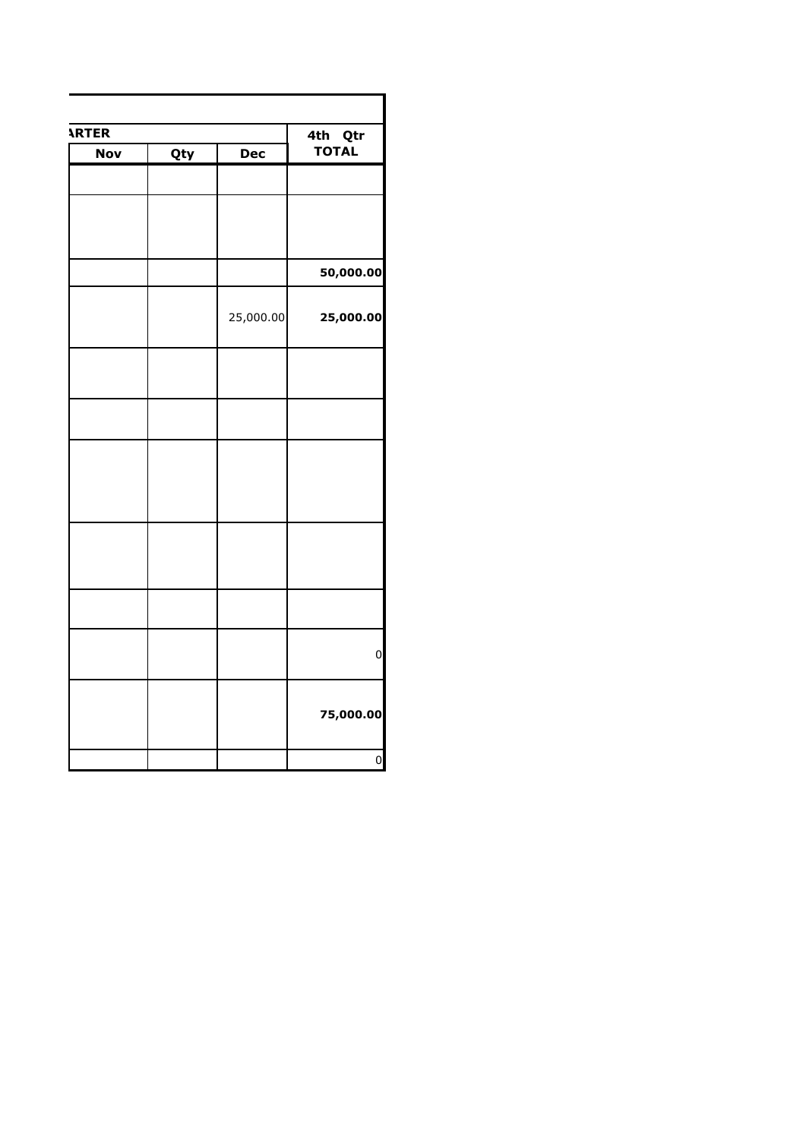| <b>ARTER</b> | 4th Qtr    |            |              |
|--------------|------------|------------|--------------|
| <b>Nov</b>   | <b>Qty</b> | <b>Dec</b> | <b>TOTAL</b> |
|              |            |            |              |
|              |            |            |              |
|              |            |            |              |
|              |            |            |              |
|              |            |            | 50,000.00    |
|              |            |            |              |
|              |            | 25,000.00  | 25,000.00    |
|              |            |            |              |
|              |            |            |              |
|              |            |            |              |
|              |            |            |              |
|              |            |            |              |
|              |            |            |              |
|              |            |            |              |
|              |            |            |              |
|              |            |            |              |
|              |            |            |              |
|              |            |            |              |
|              |            |            |              |
|              |            |            |              |
|              |            |            |              |
|              |            |            |              |
|              |            |            | 75,000.00    |
|              |            |            |              |
|              |            |            |              |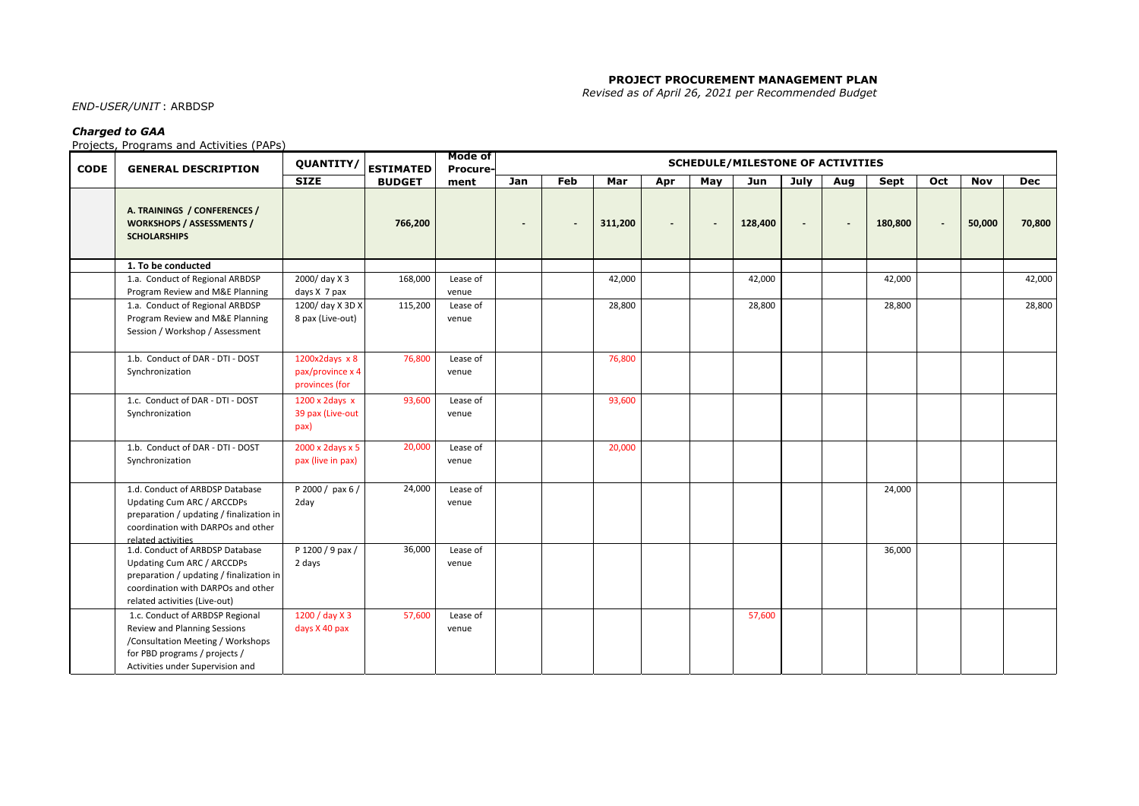#### **PROJECT PROCUREMENT MANAGEMENT PLAN**

 *Revised as of April 26, 2021 per Recommended Budget*

## *END-USER/UNIT* : ARBDSP

#### *Charged to GAA*

Projects, Programs and Activities (PAPs)

| <b>CODE</b> | <b>GENERAL DESCRIPTION</b>                                                              | <b>QUANTITY/</b>                   | <b>ESTIMATED</b> | Mode of<br><b>Procure-</b> | <b>SCHEDULE/MILESTONE OF ACTIVITIES</b> |                |         |                          |                          |         |                |     |         |                |            |            |
|-------------|-----------------------------------------------------------------------------------------|------------------------------------|------------------|----------------------------|-----------------------------------------|----------------|---------|--------------------------|--------------------------|---------|----------------|-----|---------|----------------|------------|------------|
|             |                                                                                         | <b>SIZE</b>                        | <b>BUDGET</b>    | ment                       | Jan                                     | Feb            | Mar     | Apr                      | May                      | Jun     | July           | Aug | Sept    | Oct            | <b>Nov</b> | <b>Dec</b> |
|             | A. TRAININGS / CONFERENCES /<br><b>WORKSHOPS / ASSESSMENTS /</b><br><b>SCHOLARSHIPS</b> |                                    | 766,200          |                            | $\overline{\phantom{a}}$                | $\overline{a}$ | 311,200 | $\overline{\phantom{a}}$ | $\overline{\phantom{a}}$ | 128,400 | $\blacksquare$ |     | 180,800 | $\blacksquare$ | 50,000     | 70,800     |
|             | 1. To be conducted                                                                      |                                    |                  |                            |                                         |                |         |                          |                          |         |                |     |         |                |            |            |
|             | 1.a. Conduct of Regional ARBDSP                                                         | 2000/day X 3                       | 168,000          | Lease of                   |                                         |                | 42,000  |                          |                          | 42,000  |                |     | 42,000  |                |            | 42,000     |
|             | Program Review and M&E Planning                                                         | days X 7 pax                       |                  | venue                      |                                         |                |         |                          |                          |         |                |     |         |                |            |            |
|             | 1.a. Conduct of Regional ARBDSP                                                         | 1200/ day X 3D X                   | 115,200          | Lease of                   |                                         |                | 28,800  |                          |                          | 28,800  |                |     | 28,800  |                |            | 28,800     |
|             | Program Review and M&E Planning                                                         | 8 pax (Live-out)                   |                  | venue                      |                                         |                |         |                          |                          |         |                |     |         |                |            |            |
|             | Session / Workshop / Assessment                                                         |                                    |                  |                            |                                         |                |         |                          |                          |         |                |     |         |                |            |            |
|             | 1.b. Conduct of DAR - DTI - DOST                                                        | 1200x2days $x 8$                   | 76,800           | Lease of                   |                                         |                | 76,800  |                          |                          |         |                |     |         |                |            |            |
|             | Synchronization                                                                         | pax/province x 4<br>provinces (for |                  | venue                      |                                         |                |         |                          |                          |         |                |     |         |                |            |            |
|             | 1.c. Conduct of DAR - DTI - DOST                                                        | $1200 \times 2$ days $x$           | 93,600           | Lease of                   |                                         |                | 93,600  |                          |                          |         |                |     |         |                |            |            |
|             | Synchronization                                                                         | 39 pax (Live-out                   |                  | venue                      |                                         |                |         |                          |                          |         |                |     |         |                |            |            |
|             |                                                                                         | pax)                               |                  |                            |                                         |                |         |                          |                          |         |                |     |         |                |            |            |
|             | 1.b. Conduct of DAR - DTI - DOST                                                        | 2000 x 2days x 5                   | 20,000           | Lease of                   |                                         |                | 20,000  |                          |                          |         |                |     |         |                |            |            |
|             | Synchronization                                                                         | pax (live in pax)                  |                  | venue                      |                                         |                |         |                          |                          |         |                |     |         |                |            |            |
|             | 1.d. Conduct of ARBDSP Database                                                         | P 2000 / pax 6 /                   | 24,000           | Lease of                   |                                         |                |         |                          |                          |         |                |     | 24,000  |                |            |            |
|             | Updating Cum ARC / ARCCDPs                                                              | 2day                               |                  | venue                      |                                         |                |         |                          |                          |         |                |     |         |                |            |            |
|             | preparation / updating / finalization in                                                |                                    |                  |                            |                                         |                |         |                          |                          |         |                |     |         |                |            |            |
|             | coordination with DARPOs and other                                                      |                                    |                  |                            |                                         |                |         |                          |                          |         |                |     |         |                |            |            |
|             | related activities<br>1.d. Conduct of ARBDSP Database                                   | P 1200 / 9 pax /                   | 36,000           | Lease of                   |                                         |                |         |                          |                          |         |                |     | 36,000  |                |            |            |
|             | Updating Cum ARC / ARCCDPs                                                              | 2 days                             |                  | venue                      |                                         |                |         |                          |                          |         |                |     |         |                |            |            |
|             | preparation / updating / finalization in                                                |                                    |                  |                            |                                         |                |         |                          |                          |         |                |     |         |                |            |            |
|             | coordination with DARPOs and other                                                      |                                    |                  |                            |                                         |                |         |                          |                          |         |                |     |         |                |            |            |
|             | related activities (Live-out)                                                           |                                    |                  |                            |                                         |                |         |                          |                          |         |                |     |         |                |            |            |
|             | 1.c. Conduct of ARBDSP Regional                                                         | 1200 / day X 3                     | 57,600           | Lease of                   |                                         |                |         |                          |                          | 57,600  |                |     |         |                |            |            |
|             | Review and Planning Sessions                                                            | days X 40 pax                      |                  | venue                      |                                         |                |         |                          |                          |         |                |     |         |                |            |            |
|             | /Consultation Meeting / Workshops                                                       |                                    |                  |                            |                                         |                |         |                          |                          |         |                |     |         |                |            |            |
|             | for PBD programs / projects /                                                           |                                    |                  |                            |                                         |                |         |                          |                          |         |                |     |         |                |            |            |
|             | Activities under Supervision and                                                        |                                    |                  |                            |                                         |                |         |                          |                          |         |                |     |         |                |            |            |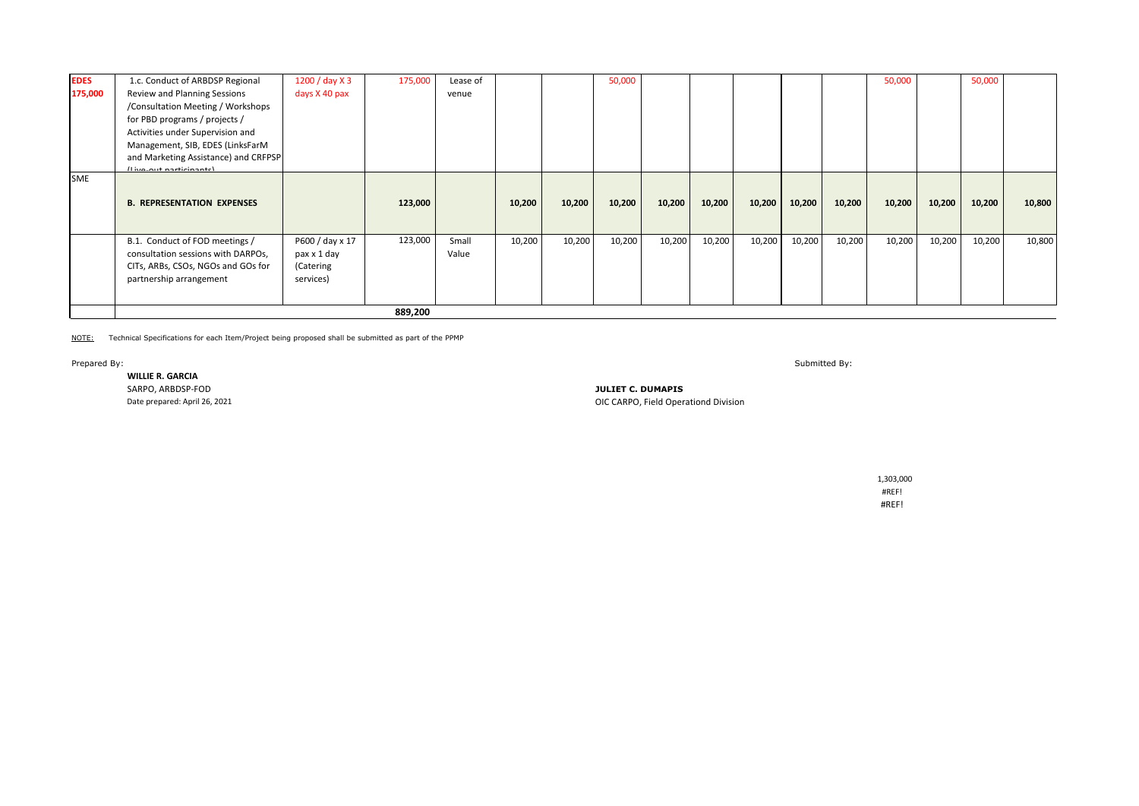| <b>EDES</b> | 1.c. Conduct of ARBDSP Regional      | 1200 / day X 3  | 175,000 | Lease of |        |        | 50,000 |        |        |        |        |        | 50,000 |        | 50,000 |        |
|-------------|--------------------------------------|-----------------|---------|----------|--------|--------|--------|--------|--------|--------|--------|--------|--------|--------|--------|--------|
| 175,000     | Review and Planning Sessions         | days X 40 pax   |         | venue    |        |        |        |        |        |        |        |        |        |        |        |        |
|             | /Consultation Meeting / Workshops    |                 |         |          |        |        |        |        |        |        |        |        |        |        |        |        |
|             | for PBD programs / projects /        |                 |         |          |        |        |        |        |        |        |        |        |        |        |        |        |
|             | Activities under Supervision and     |                 |         |          |        |        |        |        |        |        |        |        |        |        |        |        |
|             | Management, SIB, EDES (LinksFarM     |                 |         |          |        |        |        |        |        |        |        |        |        |        |        |        |
|             | and Marketing Assistance) and CRFPSP |                 |         |          |        |        |        |        |        |        |        |        |        |        |        |        |
|             | Il ive out norticinantel             |                 |         |          |        |        |        |        |        |        |        |        |        |        |        |        |
| <b>SME</b>  | <b>B. REPRESENTATION EXPENSES</b>    |                 | 123,000 |          | 10,200 | 10,200 | 10,200 | 10,200 | 10,200 | 10,200 | 10,200 | 10,200 | 10,200 | 10,200 | 10,200 | 10,800 |
|             | B.1. Conduct of FOD meetings /       | P600 / day x 17 | 123,000 | Small    | 10,200 | 10,200 | 10,200 | 10,200 | 10,200 | 10,200 | 10,200 | 10,200 | 10,200 | 10,200 | 10,200 | 10,800 |
|             | consultation sessions with DARPOs,   | pax x 1 day     |         | Value    |        |        |        |        |        |        |        |        |        |        |        |        |
|             | CITs, ARBs, CSOs, NGOs and GOs for   | (Catering       |         |          |        |        |        |        |        |        |        |        |        |        |        |        |
|             | partnership arrangement              | services)       |         |          |        |        |        |        |        |        |        |        |        |        |        |        |
|             |                                      |                 |         |          |        |        |        |        |        |        |        |        |        |        |        |        |
|             |                                      |                 | 889,200 |          |        |        |        |        |        |        |        |        |        |        |        |        |

NOTE: Technical Specifications for each Item/Project being proposed shall be submitted as part of the PPMP

## **WILLIE R. GARCIA**

Prepared By: Submitted By:

SARPO, ARBDSP-FOD **JULIET C. DUMAPIS OIC CARPO, Field Operationd Division** 

 1,303,000 #REF! Solid State Drive 500kb #REF!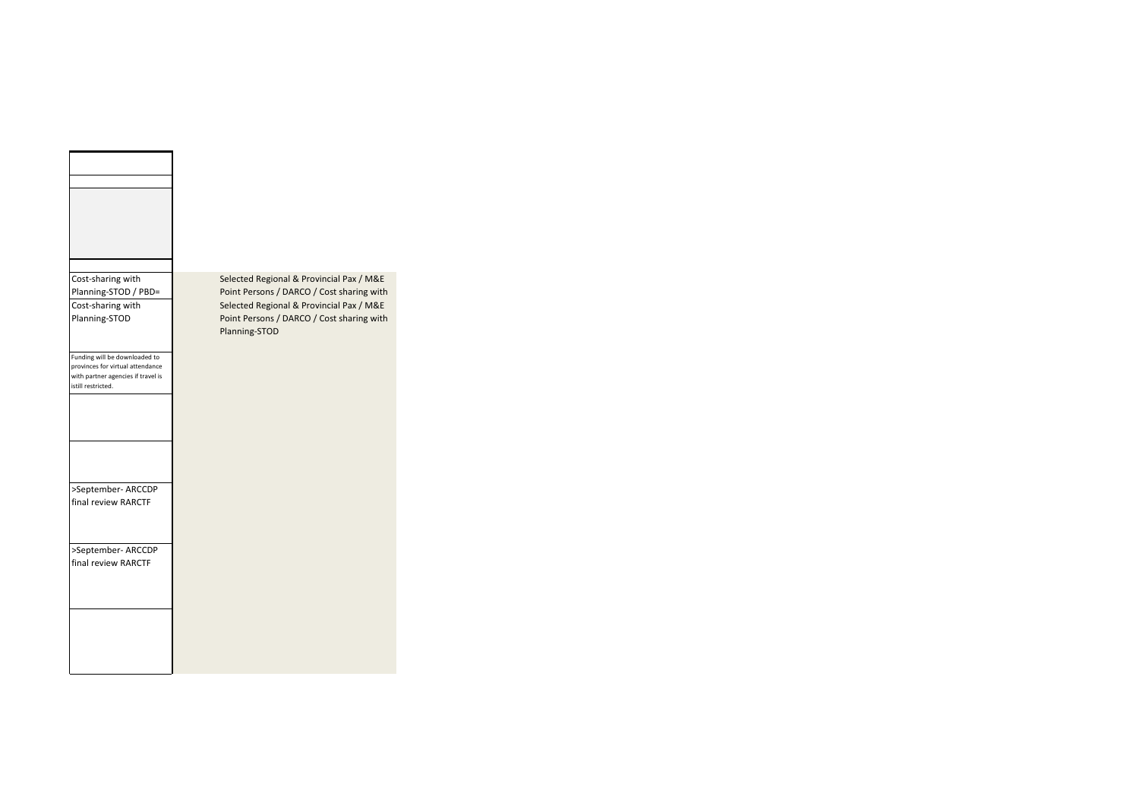| Cost-sharing with                                        | S      |
|----------------------------------------------------------|--------|
| Planning-STOD / PBD=                                     | F      |
| Cost-sharing with                                        | Ś      |
| Planning-STOD                                            | P<br>P |
|                                                          |        |
| Funding will be downloaded to                            |        |
| provinces for virtual attendance                         |        |
| with partner agencies if travel is<br>istill restricted. |        |
|                                                          |        |
|                                                          |        |
|                                                          |        |
|                                                          |        |
|                                                          |        |
|                                                          |        |
| >September- ARCCDP                                       |        |
| final review RARCTF                                      |        |
|                                                          |        |
|                                                          |        |
| >September- ARCCDP                                       |        |
| final review RARCTF                                      |        |
|                                                          |        |
|                                                          |        |
|                                                          |        |
|                                                          |        |
|                                                          |        |
|                                                          |        |
|                                                          |        |

Selected Regional & Provincial Pax / M&E Point Persons / DARCO / Cost sharing with Cost-sharing with **Planning-Stopped Cost-sharing-with** Planning-Selected Regional & Provincial Pax / M&E Point Persons / DARCO / Cost sharing with Planning-STOD